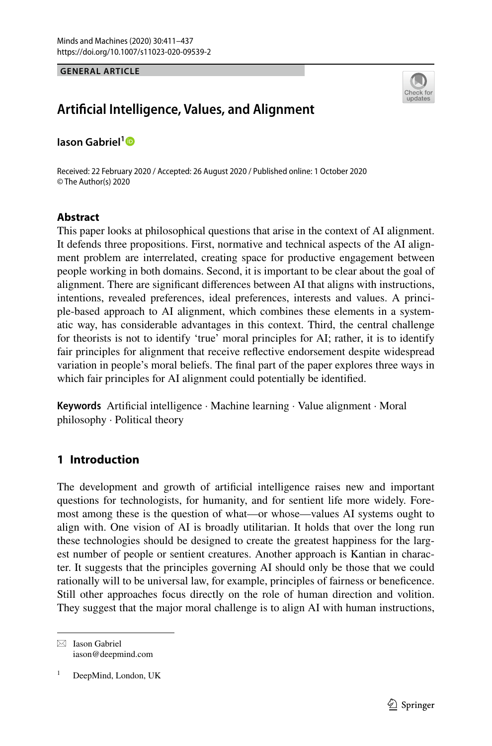**GENERAL ARTICLE**



# **Artifcial Intelligence, Values, and Alignment**

**Iason Gabriel[1](http://orcid.org/0000-0002-7552-4576)**

Received: 22 February 2020 / Accepted: 26 August 2020 / Published online: 1 October 2020 © The Author(s) 2020

### **Abstract**

This paper looks at philosophical questions that arise in the context of AI alignment. It defends three propositions. First, normative and technical aspects of the AI alignment problem are interrelated, creating space for productive engagement between people working in both domains. Second, it is important to be clear about the goal of alignment. There are signifcant diferences between AI that aligns with instructions, intentions, revealed preferences, ideal preferences, interests and values. A principle-based approach to AI alignment, which combines these elements in a systematic way, has considerable advantages in this context. Third, the central challenge for theorists is not to identify 'true' moral principles for AI; rather, it is to identify fair principles for alignment that receive refective endorsement despite widespread variation in people's moral beliefs. The fnal part of the paper explores three ways in which fair principles for AI alignment could potentially be identifed.

**Keywords** Artifcial intelligence · Machine learning · Value alignment · Moral philosophy · Political theory

## **1 Introduction**

The development and growth of artifcial intelligence raises new and important questions for technologists, for humanity, and for sentient life more widely. Foremost among these is the question of what—or whose—values AI systems ought to align with. One vision of AI is broadly utilitarian. It holds that over the long run these technologies should be designed to create the greatest happiness for the largest number of people or sentient creatures. Another approach is Kantian in character. It suggests that the principles governing AI should only be those that we could rationally will to be universal law, for example, principles of fairness or benefcence. Still other approaches focus directly on the role of human direction and volition. They suggest that the major moral challenge is to align AI with human instructions,

 $\boxtimes$  Iason Gabriel iason@deepmind.com

DeepMind, London, UK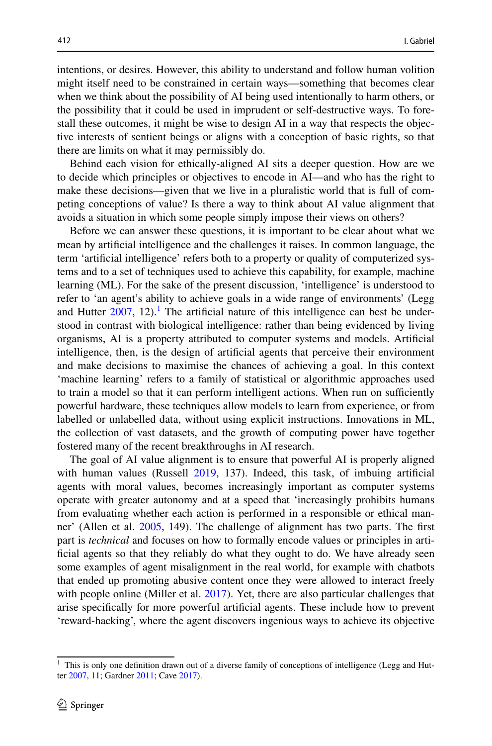intentions, or desires. However, this ability to understand and follow human volition might itself need to be constrained in certain ways—something that becomes clear when we think about the possibility of AI being used intentionally to harm others, or the possibility that it could be used in imprudent or self-destructive ways. To forestall these outcomes, it might be wise to design AI in a way that respects the objective interests of sentient beings or aligns with a conception of basic rights, so that there are limits on what it may permissibly do.

Behind each vision for ethically-aligned AI sits a deeper question. How are we to decide which principles or objectives to encode in AI—and who has the right to make these decisions—given that we live in a pluralistic world that is full of competing conceptions of value? Is there a way to think about AI value alignment that avoids a situation in which some people simply impose their views on others?

Before we can answer these questions, it is important to be clear about what we mean by artifcial intelligence and the challenges it raises. In common language, the term 'artifcial intelligence' refers both to a property or quality of computerized systems and to a set of techniques used to achieve this capability, for example, machine learning (ML). For the sake of the present discussion, 'intelligence' is understood to refer to 'an agent's ability to achieve goals in a wide range of environments' (Legg and Hutter  $2007$ , 12).<sup>1</sup> The artificial nature of this intelligence can best be understood in contrast with biological intelligence: rather than being evidenced by living organisms, AI is a property attributed to computer systems and models. Artifcial intelligence, then, is the design of artifcial agents that perceive their environment and make decisions to maximise the chances of achieving a goal. In this context 'machine learning' refers to a family of statistical or algorithmic approaches used to train a model so that it can perform intelligent actions. When run on sufficiently powerful hardware, these techniques allow models to learn from experience, or from labelled or unlabelled data, without using explicit instructions. Innovations in ML, the collection of vast datasets, and the growth of computing power have together fostered many of the recent breakthroughs in AI research.

The goal of AI value alignment is to ensure that powerful AI is properly aligned with human values (Russell [2019](#page-25-0), 137). Indeed, this task, of imbuing artifcial agents with moral values, becomes increasingly important as computer systems operate with greater autonomy and at a speed that 'increasingly prohibits humans from evaluating whether each action is performed in a responsible or ethical manner' (Allen et al. [2005](#page-23-0), 149). The challenge of alignment has two parts. The frst part is *technical* and focuses on how to formally encode values or principles in artificial agents so that they reliably do what they ought to do. We have already seen some examples of agent misalignment in the real world, for example with chatbots that ended up promoting abusive content once they were allowed to interact freely with people online (Miller et al. [2017\)](#page-24-1). Yet, there are also particular challenges that arise specifcally for more powerful artifcial agents. These include how to prevent 'reward-hacking', where the agent discovers ingenious ways to achieve its objective

<span id="page-1-0"></span><sup>&</sup>lt;sup>1</sup> This is only one definition drawn out of a diverse family of conceptions of intelligence (Legg and Hutter [2007](#page-24-0), 11; Gardner [2011;](#page-24-2) Cave [2017](#page-23-1)).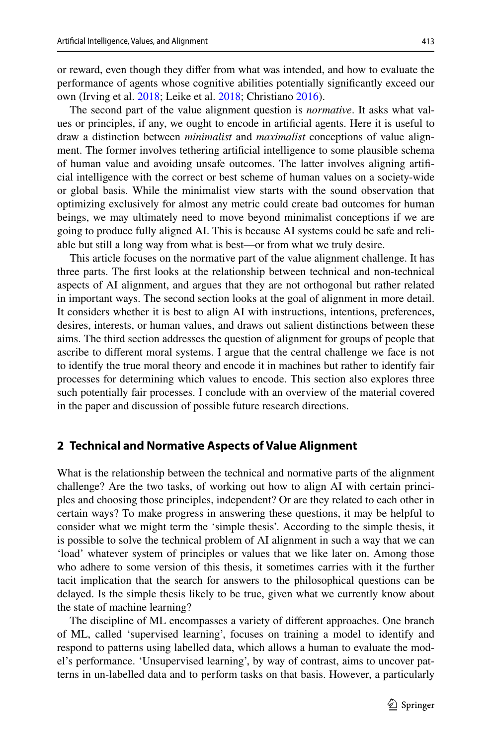or reward, even though they difer from what was intended, and how to evaluate the performance of agents whose cognitive abilities potentially signifcantly exceed our own (Irving et al. [2018;](#page-24-3) Leike et al. [2018](#page-24-4); Christiano [2016\)](#page-23-2).

The second part of the value alignment question is *normative*. It asks what values or principles, if any, we ought to encode in artifcial agents. Here it is useful to draw a distinction between *minimalist* and *maximalist* conceptions of value alignment. The former involves tethering artifcial intelligence to some plausible schema of human value and avoiding unsafe outcomes. The latter involves aligning artifcial intelligence with the correct or best scheme of human values on a society-wide or global basis. While the minimalist view starts with the sound observation that optimizing exclusively for almost any metric could create bad outcomes for human beings, we may ultimately need to move beyond minimalist conceptions if we are going to produce fully aligned AI. This is because AI systems could be safe and reliable but still a long way from what is best—or from what we truly desire.

This article focuses on the normative part of the value alignment challenge. It has three parts. The frst looks at the relationship between technical and non-technical aspects of AI alignment, and argues that they are not orthogonal but rather related in important ways. The second section looks at the goal of alignment in more detail. It considers whether it is best to align AI with instructions, intentions, preferences, desires, interests, or human values, and draws out salient distinctions between these aims. The third section addresses the question of alignment for groups of people that ascribe to diferent moral systems. I argue that the central challenge we face is not to identify the true moral theory and encode it in machines but rather to identify fair processes for determining which values to encode. This section also explores three such potentially fair processes. I conclude with an overview of the material covered in the paper and discussion of possible future research directions.

## **2 Technical and Normative Aspects of Value Alignment**

What is the relationship between the technical and normative parts of the alignment challenge? Are the two tasks, of working out how to align AI with certain principles and choosing those principles, independent? Or are they related to each other in certain ways? To make progress in answering these questions, it may be helpful to consider what we might term the 'simple thesis'. According to the simple thesis, it is possible to solve the technical problem of AI alignment in such a way that we can 'load' whatever system of principles or values that we like later on. Among those who adhere to some version of this thesis, it sometimes carries with it the further tacit implication that the search for answers to the philosophical questions can be delayed. Is the simple thesis likely to be true, given what we currently know about the state of machine learning?

The discipline of ML encompasses a variety of diferent approaches. One branch of ML, called 'supervised learning', focuses on training a model to identify and respond to patterns using labelled data, which allows a human to evaluate the model's performance. 'Unsupervised learning', by way of contrast, aims to uncover patterns in un-labelled data and to perform tasks on that basis. However, a particularly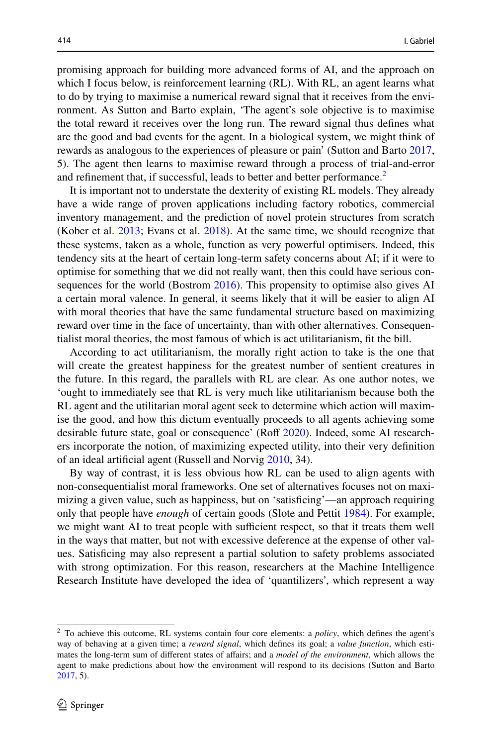promising approach for building more advanced forms of AI, and the approach on which I focus below, is reinforcement learning (RL). With RL, an agent learns what to do by trying to maximise a numerical reward signal that it receives from the environment. As Sutton and Barto explain, 'The agent's sole objective is to maximise the total reward it receives over the long run. The reward signal thus defnes what are the good and bad events for the agent. In a biological system, we might think of rewards as analogous to the experiences of pleasure or pain' (Sutton and Barto [2017,](#page-26-0) 5). The agent then learns to maximise reward through a process of trial-and-error and refinement that, if successful, leads to better and better performance.<sup>[2](#page-3-0)</sup>

It is important not to understate the dexterity of existing RL models. They already have a wide range of proven applications including factory robotics, commercial inventory management, and the prediction of novel protein structures from scratch (Kober et al. [2013;](#page-24-5) Evans et al. [2018](#page-24-6)). At the same time, we should recognize that these systems, taken as a whole, function as very powerful optimisers. Indeed, this tendency sits at the heart of certain long-term safety concerns about AI; if it were to optimise for something that we did not really want, then this could have serious consequences for the world (Bostrom [2016](#page-23-3)). This propensity to optimise also gives AI a certain moral valence. In general, it seems likely that it will be easier to align AI with moral theories that have the same fundamental structure based on maximizing reward over time in the face of uncertainty, than with other alternatives. Consequentialist moral theories, the most famous of which is act utilitarianism, ft the bill.

According to act utilitarianism, the morally right action to take is the one that will create the greatest happiness for the greatest number of sentient creatures in the future. In this regard, the parallels with RL are clear. As one author notes, we 'ought to immediately see that RL is very much like utilitarianism because both the RL agent and the utilitarian moral agent seek to determine which action will maximise the good, and how this dictum eventually proceeds to all agents achieving some desirable future state, goal or consequence' (Roff [2020\)](#page-25-1). Indeed, some AI researchers incorporate the notion, of maximizing expected utility, into their very defnition of an ideal artifcial agent (Russell and Norvig [2010,](#page-25-2) 34).

By way of contrast, it is less obvious how RL can be used to align agents with non-consequentialist moral frameworks. One set of alternatives focuses not on maximizing a given value, such as happiness, but on 'satisfcing'—an approach requiring only that people have *enough* of certain goods (Slote and Pettit [1984](#page-25-3)). For example, we might want AI to treat people with sufficient respect, so that it treats them well in the ways that matter, but not with excessive deference at the expense of other values. Satisfcing may also represent a partial solution to safety problems associated with strong optimization. For this reason, researchers at the Machine Intelligence Research Institute have developed the idea of 'quantilizers', which represent a way

<span id="page-3-0"></span><sup>2</sup> To achieve this outcome, RL systems contain four core elements: a *policy*, which defnes the agent's way of behaving at a given time; a *reward signal*, which defnes its goal; a *value function*, which estimates the long-term sum of diferent states of afairs; and a *model of the environment*, which allows the agent to make predictions about how the environment will respond to its decisions (Sutton and Barto [2017](#page-26-0), 5).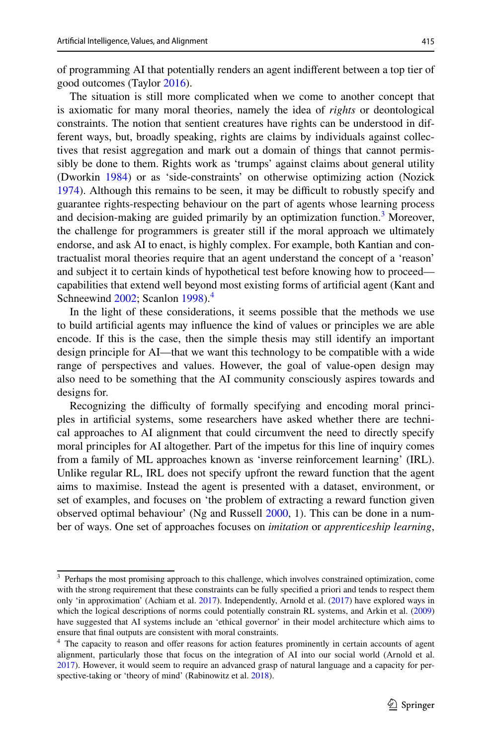of programming AI that potentially renders an agent indiferent between a top tier of good outcomes (Taylor [2016](#page-26-1)).

The situation is still more complicated when we come to another concept that is axiomatic for many moral theories, namely the idea of *rights* or deontological constraints. The notion that sentient creatures have rights can be understood in different ways, but, broadly speaking, rights are claims by individuals against collectives that resist aggregation and mark out a domain of things that cannot permissibly be done to them. Rights work as 'trumps' against claims about general utility (Dworkin [1984](#page-24-7)) or as 'side-constraints' on otherwise optimizing action (Nozick [1974](#page-25-4)). Although this remains to be seen, it may be difficult to robustly specify and guarantee rights-respecting behaviour on the part of agents whose learning process and decision-making are guided primarily by an optimization function.<sup>3</sup> Moreover, the challenge for programmers is greater still if the moral approach we ultimately endorse, and ask AI to enact, is highly complex. For example, both Kantian and contractualist moral theories require that an agent understand the concept of a 'reason' and subject it to certain kinds of hypothetical test before knowing how to proceed capabilities that extend well beyond most existing forms of artifcial agent (Kant and Schneewind [2002](#page-24-8); Scanlon [1998](#page-25-5)).<sup>[4](#page-4-1)</sup>

In the light of these considerations, it seems possible that the methods we use to build artifcial agents may infuence the kind of values or principles we are able encode. If this is the case, then the simple thesis may still identify an important design principle for AI—that we want this technology to be compatible with a wide range of perspectives and values. However, the goal of value-open design may also need to be something that the AI community consciously aspires towards and designs for.

Recognizing the difficulty of formally specifying and encoding moral principles in artifcial systems, some researchers have asked whether there are technical approaches to AI alignment that could circumvent the need to directly specify moral principles for AI altogether. Part of the impetus for this line of inquiry comes from a family of ML approaches known as 'inverse reinforcement learning' (IRL). Unlike regular RL, IRL does not specify upfront the reward function that the agent aims to maximise. Instead the agent is presented with a dataset, environment, or set of examples, and focuses on 'the problem of extracting a reward function given observed optimal behaviour' (Ng and Russell [2000](#page-25-6), 1). This can be done in a number of ways. One set of approaches focuses on *imitation* or *apprenticeship learning*,

<span id="page-4-0"></span><sup>&</sup>lt;sup>3</sup> Perhaps the most promising approach to this challenge, which involves constrained optimization, come with the strong requirement that these constraints can be fully specifed a priori and tends to respect them only 'in approximation' (Achiam et al. [2017\)](#page-23-4). Independently, Arnold et al. ([2017\)](#page-23-5) have explored ways in which the logical descriptions of norms could potentially constrain RL systems, and Arkin et al. ([2009\)](#page-23-6) have suggested that AI systems include an 'ethical governor' in their model architecture which aims to ensure that fnal outputs are consistent with moral constraints.

<span id="page-4-1"></span><sup>&</sup>lt;sup>4</sup> The capacity to reason and offer reasons for action features prominently in certain accounts of agent alignment, particularly those that focus on the integration of AI into our social world (Arnold et al. [2017](#page-23-5)). However, it would seem to require an advanced grasp of natural language and a capacity for per-spective-taking or 'theory of mind' (Rabinowitz et al. [2018](#page-25-7)).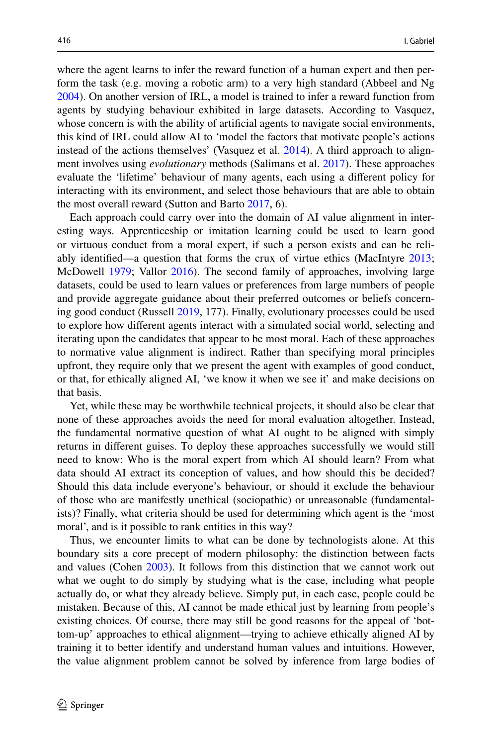where the agent learns to infer the reward function of a human expert and then perform the task (e.g. moving a robotic arm) to a very high standard (Abbeel and Ng [2004](#page-23-7)). On another version of IRL, a model is trained to infer a reward function from agents by studying behaviour exhibited in large datasets. According to Vasquez, whose concern is with the ability of artificial agents to navigate social environments, this kind of IRL could allow AI to 'model the factors that motivate people's actions instead of the actions themselves' (Vasquez et al. [2014](#page-26-2)). A third approach to alignment involves using *evolutionary* methods (Salimans et al. [2017\)](#page-25-8). These approaches evaluate the 'lifetime' behaviour of many agents, each using a diferent policy for interacting with its environment, and select those behaviours that are able to obtain the most overall reward (Sutton and Barto [2017](#page-26-0), 6).

Each approach could carry over into the domain of AI value alignment in interesting ways. Apprenticeship or imitation learning could be used to learn good or virtuous conduct from a moral expert, if such a person exists and can be reliably identifed—a question that forms the crux of virtue ethics (MacIntyre [2013;](#page-24-9) McDowell [1979](#page-24-10); Vallor [2016\)](#page-26-3). The second family of approaches, involving large datasets, could be used to learn values or preferences from large numbers of people and provide aggregate guidance about their preferred outcomes or beliefs concerning good conduct (Russell [2019](#page-25-0), 177). Finally, evolutionary processes could be used to explore how diferent agents interact with a simulated social world, selecting and iterating upon the candidates that appear to be most moral. Each of these approaches to normative value alignment is indirect. Rather than specifying moral principles upfront, they require only that we present the agent with examples of good conduct, or that, for ethically aligned AI, 'we know it when we see it' and make decisions on that basis.

Yet, while these may be worthwhile technical projects, it should also be clear that none of these approaches avoids the need for moral evaluation altogether. Instead, the fundamental normative question of what AI ought to be aligned with simply returns in diferent guises. To deploy these approaches successfully we would still need to know: Who is the moral expert from which AI should learn? From what data should AI extract its conception of values, and how should this be decided? Should this data include everyone's behaviour, or should it exclude the behaviour of those who are manifestly unethical (sociopathic) or unreasonable (fundamentalists)? Finally, what criteria should be used for determining which agent is the 'most moral', and is it possible to rank entities in this way?

Thus, we encounter limits to what can be done by technologists alone. At this boundary sits a core precept of modern philosophy: the distinction between facts and values (Cohen [2003\)](#page-23-8). It follows from this distinction that we cannot work out what we ought to do simply by studying what is the case, including what people actually do, or what they already believe. Simply put, in each case, people could be mistaken. Because of this, AI cannot be made ethical just by learning from people's existing choices. Of course, there may still be good reasons for the appeal of 'bottom-up' approaches to ethical alignment—trying to achieve ethically aligned AI by training it to better identify and understand human values and intuitions. However, the value alignment problem cannot be solved by inference from large bodies of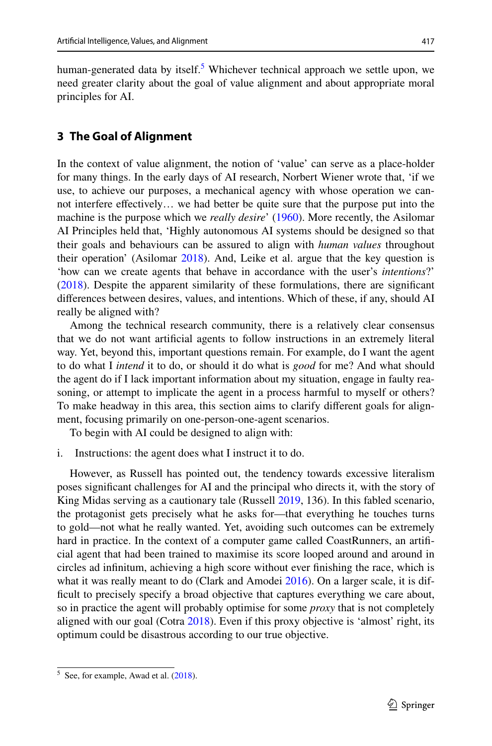human-generated data by itself.<sup>5</sup> Whichever technical approach we settle upon, we need greater clarity about the goal of value alignment and about appropriate moral principles for AI.

### **3 The Goal of Alignment**

In the context of value alignment, the notion of 'value' can serve as a place-holder for many things. In the early days of AI research, Norbert Wiener wrote that, 'if we use, to achieve our purposes, a mechanical agency with whose operation we cannot interfere efectively… we had better be quite sure that the purpose put into the machine is the purpose which we *really desire*' ([1960\)](#page-26-4). More recently, the Asilomar AI Principles held that, 'Highly autonomous AI systems should be designed so that their goals and behaviours can be assured to align with *human values* throughout their operation' (Asilomar [2018\)](#page-23-9). And, Leike et al. argue that the key question is 'how can we create agents that behave in accordance with the user's *intentions*?' [\(2018](#page-24-4)). Despite the apparent similarity of these formulations, there are signifcant diferences between desires, values, and intentions. Which of these, if any, should AI really be aligned with?

Among the technical research community, there is a relatively clear consensus that we do not want artifcial agents to follow instructions in an extremely literal way. Yet, beyond this, important questions remain. For example, do I want the agent to do what I *intend* it to do, or should it do what is *good* for me? And what should the agent do if I lack important information about my situation, engage in faulty reasoning, or attempt to implicate the agent in a process harmful to myself or others? To make headway in this area, this section aims to clarify diferent goals for alignment, focusing primarily on one-person-one-agent scenarios.

To begin with AI could be designed to align with:

i. Instructions: the agent does what I instruct it to do.

However, as Russell has pointed out, the tendency towards excessive literalism poses signifcant challenges for AI and the principal who directs it, with the story of King Midas serving as a cautionary tale (Russell [2019,](#page-25-0) 136). In this fabled scenario, the protagonist gets precisely what he asks for—that everything he touches turns to gold—not what he really wanted. Yet, avoiding such outcomes can be extremely hard in practice. In the context of a computer game called CoastRunners, an artificial agent that had been trained to maximise its score looped around and around in circles ad infnitum, achieving a high score without ever fnishing the race, which is what it was really meant to do (Clark and Amodei [2016\)](#page-23-10). On a larger scale, it is diffcult to precisely specify a broad objective that captures everything we care about, so in practice the agent will probably optimise for some *proxy* that is not completely aligned with our goal (Cotra [2018\)](#page-23-11). Even if this proxy objective is 'almost' right, its optimum could be disastrous according to our true objective.

<span id="page-6-0"></span> $5$  See, for example, Awad et al.  $(2018)$  $(2018)$ .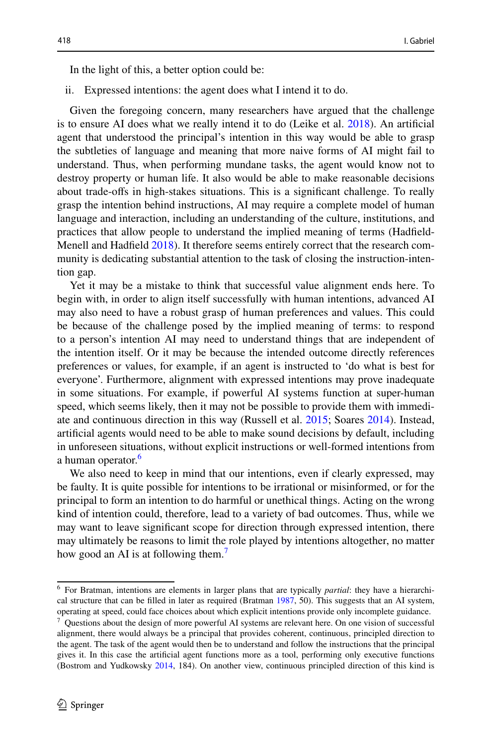In the light of this, a better option could be:

ii. Expressed intentions: the agent does what I intend it to do.

Given the foregoing concern, many researchers have argued that the challenge is to ensure AI does what we really intend it to do (Leike et al. [2018\)](#page-24-4). An artifcial agent that understood the principal's intention in this way would be able to grasp the subtleties of language and meaning that more naive forms of AI might fail to understand. Thus, when performing mundane tasks, the agent would know not to destroy property or human life. It also would be able to make reasonable decisions about trade-ofs in high-stakes situations. This is a signifcant challenge. To really grasp the intention behind instructions, AI may require a complete model of human language and interaction, including an understanding of the culture, institutions, and practices that allow people to understand the implied meaning of terms (Hadfeld-Menell and Hadfeld [2018](#page-24-11)). It therefore seems entirely correct that the research community is dedicating substantial attention to the task of closing the instruction-intention gap.

Yet it may be a mistake to think that successful value alignment ends here. To begin with, in order to align itself successfully with human intentions, advanced AI may also need to have a robust grasp of human preferences and values. This could be because of the challenge posed by the implied meaning of terms: to respond to a person's intention AI may need to understand things that are independent of the intention itself. Or it may be because the intended outcome directly references preferences or values, for example, if an agent is instructed to 'do what is best for everyone'. Furthermore, alignment with expressed intentions may prove inadequate in some situations. For example, if powerful AI systems function at super-human speed, which seems likely, then it may not be possible to provide them with immediate and continuous direction in this way (Russell et al. [2015](#page-25-9); Soares [2014](#page-26-5)). Instead, artifcial agents would need to be able to make sound decisions by default, including in unforeseen situations, without explicit instructions or well-formed intentions from a human operator.<sup>[6](#page-7-0)</sup>

We also need to keep in mind that our intentions, even if clearly expressed, may be faulty. It is quite possible for intentions to be irrational or misinformed, or for the principal to form an intention to do harmful or unethical things. Acting on the wrong kind of intention could, therefore, lead to a variety of bad outcomes. Thus, while we may want to leave signifcant scope for direction through expressed intention, there may ultimately be reasons to limit the role played by intentions altogether, no matter how good an AI is at following them.<sup>[7](#page-7-1)</sup>

<span id="page-7-0"></span><sup>6</sup> For Bratman, intentions are elements in larger plans that are typically *partial*: they have a hierarchical structure that can be flled in later as required (Bratman [1987,](#page-23-13) 50). This suggests that an AI system, operating at speed, could face choices about which explicit intentions provide only incomplete guidance.

<span id="page-7-1"></span> $7$  Questions about the design of more powerful AI systems are relevant here. On one vision of successful alignment, there would always be a principal that provides coherent, continuous, principled direction to the agent. The task of the agent would then be to understand and follow the instructions that the principal gives it. In this case the artifcial agent functions more as a tool, performing only executive functions (Bostrom and Yudkowsky [2014,](#page-23-14) 184). On another view, continuous principled direction of this kind is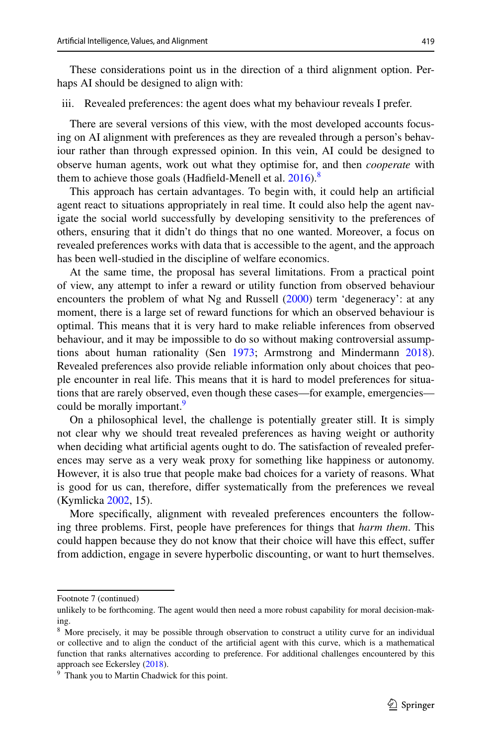These considerations point us in the direction of a third alignment option. Perhaps AI should be designed to align with:

iii. Revealed preferences: the agent does what my behaviour reveals I prefer.

There are several versions of this view, with the most developed accounts focusing on AI alignment with preferences as they are revealed through a person's behaviour rather than through expressed opinion. In this vein, AI could be designed to observe human agents, work out what they optimise for, and then *cooperate* with them to achieve those goals (Hadfield-Menell et al.  $2016$ ).<sup>[8](#page-8-0)</sup>

This approach has certain advantages. To begin with, it could help an artifcial agent react to situations appropriately in real time. It could also help the agent navigate the social world successfully by developing sensitivity to the preferences of others, ensuring that it didn't do things that no one wanted. Moreover, a focus on revealed preferences works with data that is accessible to the agent, and the approach has been well-studied in the discipline of welfare economics.

At the same time, the proposal has several limitations. From a practical point of view, any attempt to infer a reward or utility function from observed behaviour encounters the problem of what Ng and Russell ([2000\)](#page-25-6) term 'degeneracy': at any moment, there is a large set of reward functions for which an observed behaviour is optimal. This means that it is very hard to make reliable inferences from observed behaviour, and it may be impossible to do so without making controversial assumptions about human rationality (Sen [1973;](#page-25-10) Armstrong and Mindermann [2018\)](#page-23-15). Revealed preferences also provide reliable information only about choices that people encounter in real life. This means that it is hard to model preferences for situations that are rarely observed, even though these cases—for example, emergencies— could be morally important.<sup>[9](#page-8-1)</sup>

On a philosophical level, the challenge is potentially greater still. It is simply not clear why we should treat revealed preferences as having weight or authority when deciding what artifcial agents ought to do. The satisfaction of revealed preferences may serve as a very weak proxy for something like happiness or autonomy. However, it is also true that people make bad choices for a variety of reasons. What is good for us can, therefore, difer systematically from the preferences we reveal (Kymlicka [2002,](#page-24-13) 15).

More specifcally, alignment with revealed preferences encounters the following three problems. First, people have preferences for things that *harm them*. This could happen because they do not know that their choice will have this efect, sufer from addiction, engage in severe hyperbolic discounting, or want to hurt themselves.

Footnote 7 (continued)

unlikely to be forthcoming. The agent would then need a more robust capability for moral decision-making.

<span id="page-8-0"></span><sup>&</sup>lt;sup>8</sup> More precisely, it may be possible through observation to construct a utility curve for an individual or collective and to align the conduct of the artifcial agent with this curve, which is a mathematical function that ranks alternatives according to preference. For additional challenges encountered by this approach see Eckersley [\(2018](#page-24-14)).

<span id="page-8-1"></span><sup>&</sup>lt;sup>9</sup> Thank you to Martin Chadwick for this point.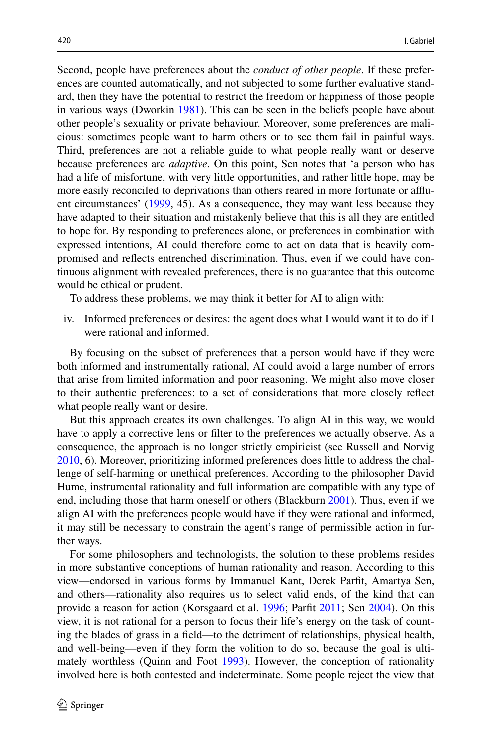Second, people have preferences about the *conduct of other people*. If these preferences are counted automatically, and not subjected to some further evaluative standard, then they have the potential to restrict the freedom or happiness of those people in various ways (Dworkin [1981](#page-23-16)). This can be seen in the beliefs people have about other people's sexuality or private behaviour. Moreover, some preferences are malicious: sometimes people want to harm others or to see them fail in painful ways. Third, preferences are not a reliable guide to what people really want or deserve because preferences are *adaptive*. On this point, Sen notes that 'a person who has had a life of misfortune, with very little opportunities, and rather little hope, may be more easily reconciled to deprivations than others reared in more fortunate or afuent circumstances' ([1999,](#page-25-11) 45). As a consequence, they may want less because they have adapted to their situation and mistakenly believe that this is all they are entitled to hope for. By responding to preferences alone, or preferences in combination with expressed intentions, AI could therefore come to act on data that is heavily compromised and refects entrenched discrimination. Thus, even if we could have continuous alignment with revealed preferences, there is no guarantee that this outcome would be ethical or prudent.

To address these problems, we may think it better for AI to align with:

iv. Informed preferences or desires: the agent does what I would want it to do if I were rational and informed.

By focusing on the subset of preferences that a person would have if they were both informed and instrumentally rational, AI could avoid a large number of errors that arise from limited information and poor reasoning. We might also move closer to their authentic preferences: to a set of considerations that more closely refect what people really want or desire.

But this approach creates its own challenges. To align AI in this way, we would have to apply a corrective lens or flter to the preferences we actually observe. As a consequence, the approach is no longer strictly empiricist (see Russell and Norvig [2010](#page-25-2), 6). Moreover, prioritizing informed preferences does little to address the challenge of self-harming or unethical preferences. According to the philosopher David Hume, instrumental rationality and full information are compatible with any type of end, including those that harm oneself or others (Blackburn [2001](#page-23-17)). Thus, even if we align AI with the preferences people would have if they were rational and informed, it may still be necessary to constrain the agent's range of permissible action in further ways.

For some philosophers and technologists, the solution to these problems resides in more substantive conceptions of human rationality and reason. According to this view—endorsed in various forms by Immanuel Kant, Derek Parft, Amartya Sen, and others—rationality also requires us to select valid ends, of the kind that can provide a reason for action (Korsgaard et al. [1996;](#page-24-15) Parft [2011](#page-25-12); Sen [2004](#page-25-13)). On this view, it is not rational for a person to focus their life's energy on the task of counting the blades of grass in a feld—to the detriment of relationships, physical health, and well-being—even if they form the volition to do so, because the goal is ultimately worthless (Quinn and Foot [1993](#page-25-14)). However, the conception of rationality involved here is both contested and indeterminate. Some people reject the view that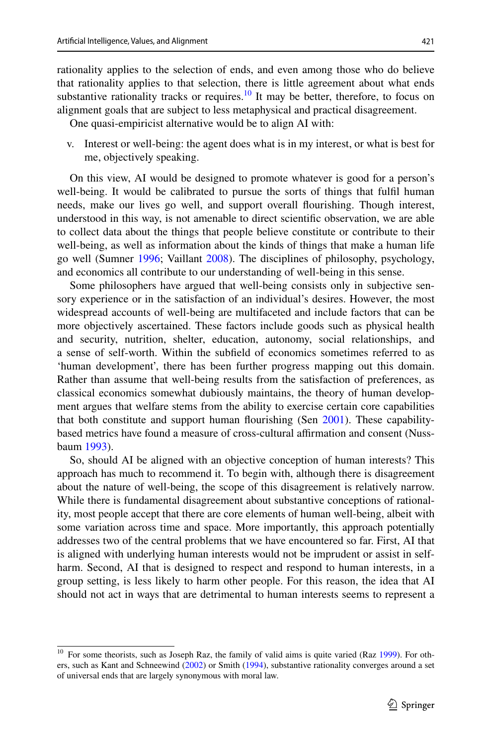rationality applies to the selection of ends, and even among those who do believe that rationality applies to that selection, there is little agreement about what ends substantive rationality tracks or requires.<sup>10</sup> It may be better, therefore, to focus on alignment goals that are subject to less metaphysical and practical disagreement.

One quasi-empiricist alternative would be to align AI with:

v. Interest or well-being: the agent does what is in my interest, or what is best for me, objectively speaking.

On this view, AI would be designed to promote whatever is good for a person's well-being. It would be calibrated to pursue the sorts of things that fulfl human needs, make our lives go well, and support overall fourishing. Though interest, understood in this way, is not amenable to direct scientifc observation, we are able to collect data about the things that people believe constitute or contribute to their well-being, as well as information about the kinds of things that make a human life go well (Sumner [1996](#page-26-6); Vaillant [2008](#page-26-7)). The disciplines of philosophy, psychology, and economics all contribute to our understanding of well-being in this sense.

Some philosophers have argued that well-being consists only in subjective sensory experience or in the satisfaction of an individual's desires. However, the most widespread accounts of well-being are multifaceted and include factors that can be more objectively ascertained. These factors include goods such as physical health and security, nutrition, shelter, education, autonomy, social relationships, and a sense of self-worth. Within the subfeld of economics sometimes referred to as 'human development', there has been further progress mapping out this domain. Rather than assume that well-being results from the satisfaction of preferences, as classical economics somewhat dubiously maintains, the theory of human development argues that welfare stems from the ability to exercise certain core capabilities that both constitute and support human fourishing (Sen [2001](#page-25-15)). These capabilitybased metrics have found a measure of cross-cultural afrmation and consent (Nussbaum [1993\)](#page-25-16).

So, should AI be aligned with an objective conception of human interests? This approach has much to recommend it. To begin with, although there is disagreement about the nature of well-being, the scope of this disagreement is relatively narrow. While there is fundamental disagreement about substantive conceptions of rationality, most people accept that there are core elements of human well-being, albeit with some variation across time and space. More importantly, this approach potentially addresses two of the central problems that we have encountered so far. First, AI that is aligned with underlying human interests would not be imprudent or assist in selfharm. Second, AI that is designed to respect and respond to human interests, in a group setting, is less likely to harm other people. For this reason, the idea that AI should not act in ways that are detrimental to human interests seems to represent a

<span id="page-10-0"></span><sup>&</sup>lt;sup>10</sup> For some theorists, such as Joseph Raz, the family of valid aims is quite varied (Raz [1999\)](#page-25-17). For others, such as Kant and Schneewind ([2002\)](#page-24-8) or Smith [\(1994](#page-25-18)), substantive rationality converges around a set of universal ends that are largely synonymous with moral law.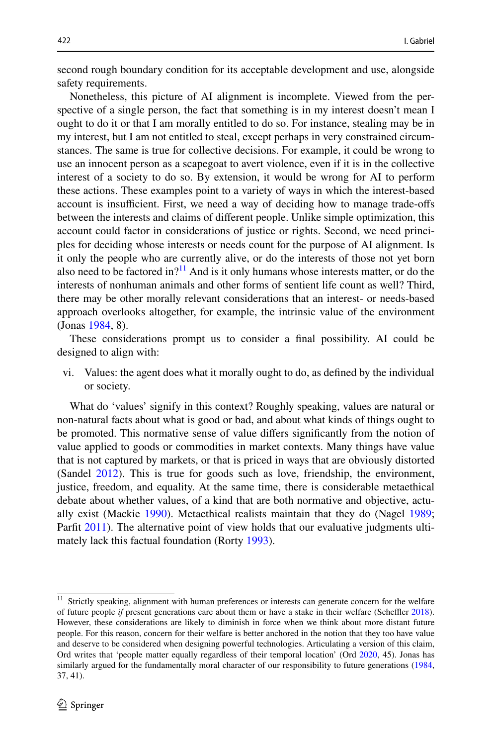second rough boundary condition for its acceptable development and use, alongside safety requirements.

Nonetheless, this picture of AI alignment is incomplete. Viewed from the perspective of a single person, the fact that something is in my interest doesn't mean I ought to do it or that I am morally entitled to do so. For instance, stealing may be in my interest, but I am not entitled to steal, except perhaps in very constrained circumstances. The same is true for collective decisions. For example, it could be wrong to use an innocent person as a scapegoat to avert violence, even if it is in the collective interest of a society to do so. By extension, it would be wrong for AI to perform these actions. These examples point to a variety of ways in which the interest-based account is insufficient. First, we need a way of deciding how to manage trade-offs between the interests and claims of diferent people. Unlike simple optimization, this account could factor in considerations of justice or rights. Second, we need principles for deciding whose interests or needs count for the purpose of AI alignment. Is it only the people who are currently alive, or do the interests of those not yet born also need to be factored in?<sup>11</sup> And is it only humans whose interests matter, or do the interests of nonhuman animals and other forms of sentient life count as well? Third, there may be other morally relevant considerations that an interest- or needs-based approach overlooks altogether, for example, the intrinsic value of the environment (Jonas [1984,](#page-24-16) 8).

These considerations prompt us to consider a fnal possibility. AI could be designed to align with:

vi. Values: the agent does what it morally ought to do, as defned by the individual or society.

What do 'values' signify in this context? Roughly speaking, values are natural or non-natural facts about what is good or bad, and about what kinds of things ought to be promoted. This normative sense of value difers signifcantly from the notion of value applied to goods or commodities in market contexts. Many things have value that is not captured by markets, or that is priced in ways that are obviously distorted (Sandel [2012\)](#page-25-19). This is true for goods such as love, friendship, the environment, justice, freedom, and equality. At the same time, there is considerable metaethical debate about whether values, of a kind that are both normative and objective, actually exist (Mackie [1990](#page-24-17)). Metaethical realists maintain that they do (Nagel [1989;](#page-25-20) Parfit [2011\)](#page-25-12). The alternative point of view holds that our evaluative judgments ultimately lack this factual foundation (Rorty [1993](#page-25-21)).

<span id="page-11-0"></span><sup>&</sup>lt;sup>11</sup> Strictly speaking, alignment with human preferences or interests can generate concern for the welfare of future people *if* present generations care about them or have a stake in their welfare (Scheffler [2018\)](#page-25-22). However, these considerations are likely to diminish in force when we think about more distant future people. For this reason, concern for their welfare is better anchored in the notion that they too have value and deserve to be considered when designing powerful technologies. Articulating a version of this claim, Ord writes that 'people matter equally regardless of their temporal location' (Ord [2020](#page-25-23), 45). Jonas has similarly argued for the fundamentally moral character of our responsibility to future generations [\(1984](#page-24-16), 37, 41).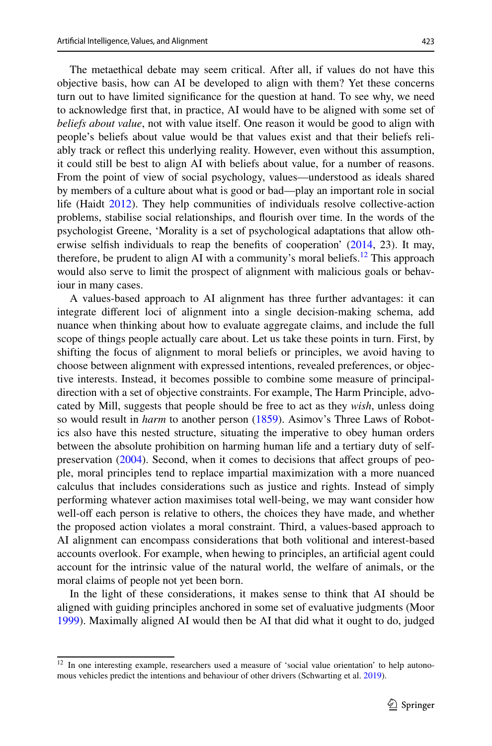The metaethical debate may seem critical. After all, if values do not have this objective basis, how can AI be developed to align with them? Yet these concerns turn out to have limited signifcance for the question at hand. To see why, we need to acknowledge frst that, in practice, AI would have to be aligned with some set of *beliefs about value*, not with value itself. One reason it would be good to align with people's beliefs about value would be that values exist and that their beliefs reliably track or refect this underlying reality. However, even without this assumption, it could still be best to align AI with beliefs about value, for a number of reasons. From the point of view of social psychology, values—understood as ideals shared by members of a culture about what is good or bad—play an important role in social life (Haidt [2012\)](#page-24-18). They help communities of individuals resolve collective-action problems, stabilise social relationships, and fourish over time. In the words of the psychologist Greene, 'Morality is a set of psychological adaptations that allow otherwise selfsh individuals to reap the benefts of cooperation' [\(2014](#page-24-19), 23). It may, therefore, be prudent to align AI with a community's moral beliefs.<sup>12</sup> This approach would also serve to limit the prospect of alignment with malicious goals or behaviour in many cases.

A values-based approach to AI alignment has three further advantages: it can integrate diferent loci of alignment into a single decision-making schema, add nuance when thinking about how to evaluate aggregate claims, and include the full scope of things people actually care about. Let us take these points in turn. First, by shifting the focus of alignment to moral beliefs or principles, we avoid having to choose between alignment with expressed intentions, revealed preferences, or objective interests. Instead, it becomes possible to combine some measure of principaldirection with a set of objective constraints. For example, The Harm Principle, advocated by Mill, suggests that people should be free to act as they *wish*, unless doing so would result in *harm* to another person ([1859\)](#page-24-20). Asimov's Three Laws of Robotics also have this nested structure, situating the imperative to obey human orders between the absolute prohibition on harming human life and a tertiary duty of selfpreservation ([2004\)](#page-23-18). Second, when it comes to decisions that afect groups of people, moral principles tend to replace impartial maximization with a more nuanced calculus that includes considerations such as justice and rights. Instead of simply performing whatever action maximises total well-being, we may want consider how well-off each person is relative to others, the choices they have made, and whether the proposed action violates a moral constraint. Third, a values-based approach to AI alignment can encompass considerations that both volitional and interest-based accounts overlook. For example, when hewing to principles, an artifcial agent could account for the intrinsic value of the natural world, the welfare of animals, or the moral claims of people not yet been born.

In the light of these considerations, it makes sense to think that AI should be aligned with guiding principles anchored in some set of evaluative judgments (Moor [1999](#page-25-24)). Maximally aligned AI would then be AI that did what it ought to do, judged

<span id="page-12-0"></span><sup>&</sup>lt;sup>12</sup> In one interesting example, researchers used a measure of 'social value orientation' to help autonomous vehicles predict the intentions and behaviour of other drivers (Schwarting et al. [2019\)](#page-25-25).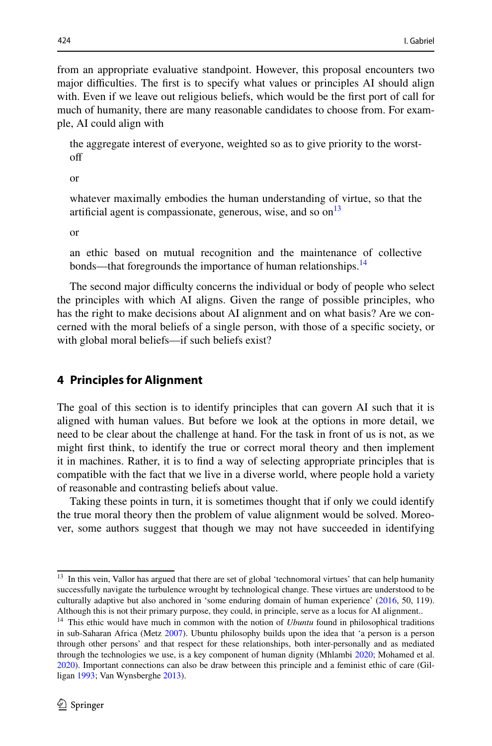from an appropriate evaluative standpoint. However, this proposal encounters two major difficulties. The first is to specify what values or principles AI should align with. Even if we leave out religious beliefs, which would be the frst port of call for much of humanity, there are many reasonable candidates to choose from. For example, AI could align with

the aggregate interest of everyone, weighted so as to give priority to the worstof

or

whatever maximally embodies the human understanding of virtue, so that the artificial agent is compassionate, generous, wise, and so on<sup>13</sup>

or

an ethic based on mutual recognition and the maintenance of collective bonds—that foregrounds the importance of human relationships.<sup>14</sup>

The second major difficulty concerns the individual or body of people who select the principles with which AI aligns. Given the range of possible principles, who has the right to make decisions about AI alignment and on what basis? Are we concerned with the moral beliefs of a single person, with those of a specifc society, or with global moral beliefs—if such beliefs exist?

# **4 Principles for Alignment**

The goal of this section is to identify principles that can govern AI such that it is aligned with human values. But before we look at the options in more detail, we need to be clear about the challenge at hand. For the task in front of us is not, as we might frst think, to identify the true or correct moral theory and then implement it in machines. Rather, it is to fnd a way of selecting appropriate principles that is compatible with the fact that we live in a diverse world, where people hold a variety of reasonable and contrasting beliefs about value.

Taking these points in turn, it is sometimes thought that if only we could identify the true moral theory then the problem of value alignment would be solved. Moreover, some authors suggest that though we may not have succeeded in identifying

<span id="page-13-0"></span><sup>&</sup>lt;sup>13</sup> In this vein, Vallor has argued that there are set of global 'technomoral virtues' that can help humanity successfully navigate the turbulence wrought by technological change. These virtues are understood to be culturally adaptive but also anchored in 'some enduring domain of human experience' [\(2016](#page-26-3), 50, 119). Although this is not their primary purpose, they could, in principle, serve as a locus for AI alignment..

<span id="page-13-1"></span><sup>&</sup>lt;sup>14</sup> This ethic would have much in common with the notion of *Ubuntu* found in philosophical traditions in sub-Saharan Africa (Metz [2007](#page-24-21)). Ubuntu philosophy builds upon the idea that 'a person is a person through other persons' and that respect for these relationships, both inter-personally and as mediated through the technologies we use, is a key component of human dignity (Mhlambi [2020](#page-24-22); Mohamed et al. [2020](#page-25-26)). Important connections can also be draw between this principle and a feminist ethic of care (Gilligan [1993;](#page-24-23) Van Wynsberghe [2013\)](#page-26-8).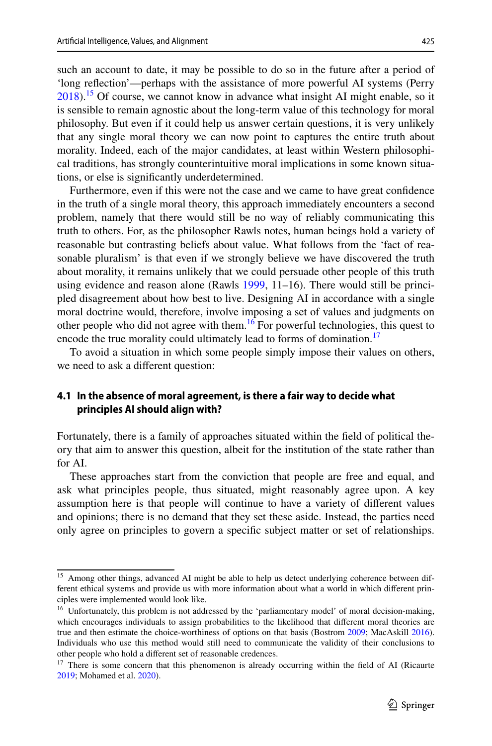such an account to date, it may be possible to do so in the future after a period of 'long refection'—perhaps with the assistance of more powerful AI systems (Perry  $2018$ ).<sup>15</sup> Of course, we cannot know in advance what insight AI might enable, so it is sensible to remain agnostic about the long-term value of this technology for moral philosophy. But even if it could help us answer certain questions, it is very unlikely that any single moral theory we can now point to captures the entire truth about morality. Indeed, each of the major candidates, at least within Western philosophical traditions, has strongly counterintuitive moral implications in some known situations, or else is signifcantly underdetermined.

Furthermore, even if this were not the case and we came to have great confdence in the truth of a single moral theory, this approach immediately encounters a second problem, namely that there would still be no way of reliably communicating this truth to others. For, as the philosopher Rawls notes, human beings hold a variety of reasonable but contrasting beliefs about value. What follows from the 'fact of reasonable pluralism' is that even if we strongly believe we have discovered the truth about morality, it remains unlikely that we could persuade other people of this truth using evidence and reason alone (Rawls  $1999, 11-16$  $1999, 11-16$ ). There would still be principled disagreement about how best to live. Designing AI in accordance with a single moral doctrine would, therefore, involve imposing a set of values and judgments on other people who did not agree with them.<sup>16</sup> For powerful technologies, this quest to encode the true morality could ultimately lead to forms of domination.<sup>[17](#page-14-2)</sup>

To avoid a situation in which some people simply impose their values on others, we need to ask a diferent question:

### **4.1 In the absence of moral agreement, is there a fair way to decide what principles AI should align with?**

Fortunately, there is a family of approaches situated within the feld of political theory that aim to answer this question, albeit for the institution of the state rather than for AI.

These approaches start from the conviction that people are free and equal, and ask what principles people, thus situated, might reasonably agree upon. A key assumption here is that people will continue to have a variety of diferent values and opinions; there is no demand that they set these aside. Instead, the parties need only agree on principles to govern a specifc subject matter or set of relationships.

<span id="page-14-0"></span><sup>&</sup>lt;sup>15</sup> Among other things, advanced AI might be able to help us detect underlying coherence between different ethical systems and provide us with more information about what a world in which diferent principles were implemented would look like.

<span id="page-14-1"></span><sup>&</sup>lt;sup>16</sup> Unfortunately, this problem is not addressed by the 'parliamentary model' of moral decision-making, which encourages individuals to assign probabilities to the likelihood that diferent moral theories are true and then estimate the choice-worthiness of options on that basis (Bostrom [2009;](#page-23-19) MacAskill [2016\)](#page-24-24). Individuals who use this method would still need to communicate the validity of their conclusions to other people who hold a diferent set of reasonable credences.

<span id="page-14-2"></span><sup>&</sup>lt;sup>17</sup> There is some concern that this phenomenon is already occurring within the field of AI (Ricaurte [2019](#page-25-29); Mohamed et al. [2020](#page-25-26)).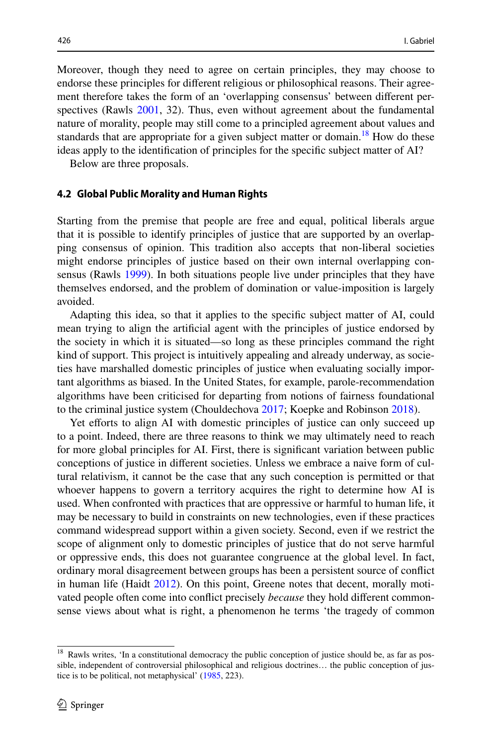Moreover, though they need to agree on certain principles, they may choose to endorse these principles for diferent religious or philosophical reasons. Their agreement therefore takes the form of an 'overlapping consensus' between diferent perspectives (Rawls [2001](#page-25-30), 32). Thus, even without agreement about the fundamental nature of morality, people may still come to a principled agreement about values and standards that are appropriate for a given subject matter or domain.<sup>18</sup> How do these ideas apply to the identifcation of principles for the specifc subject matter of AI?

Below are three proposals.

#### **4.2 Global Public Morality and Human Rights**

Starting from the premise that people are free and equal, political liberals argue that it is possible to identify principles of justice that are supported by an overlapping consensus of opinion. This tradition also accepts that non-liberal societies might endorse principles of justice based on their own internal overlapping consensus (Rawls [1999](#page-25-28)). In both situations people live under principles that they have themselves endorsed, and the problem of domination or value-imposition is largely avoided.

Adapting this idea, so that it applies to the specifc subject matter of AI, could mean trying to align the artifcial agent with the principles of justice endorsed by the society in which it is situated—so long as these principles command the right kind of support. This project is intuitively appealing and already underway, as societies have marshalled domestic principles of justice when evaluating socially important algorithms as biased. In the United States, for example, parole-recommendation algorithms have been criticised for departing from notions of fairness foundational to the criminal justice system (Chouldechova [2017;](#page-23-20) Koepke and Robinson [2018\)](#page-24-25).

Yet efforts to align AI with domestic principles of justice can only succeed up to a point. Indeed, there are three reasons to think we may ultimately need to reach for more global principles for AI. First, there is signifcant variation between public conceptions of justice in diferent societies. Unless we embrace a naive form of cultural relativism, it cannot be the case that any such conception is permitted or that whoever happens to govern a territory acquires the right to determine how AI is used. When confronted with practices that are oppressive or harmful to human life, it may be necessary to build in constraints on new technologies, even if these practices command widespread support within a given society. Second, even if we restrict the scope of alignment only to domestic principles of justice that do not serve harmful or oppressive ends, this does not guarantee congruence at the global level. In fact, ordinary moral disagreement between groups has been a persistent source of confict in human life (Haidt [2012\)](#page-24-18). On this point, Greene notes that decent, morally motivated people often come into confict precisely *because* they hold diferent commonsense views about what is right, a phenomenon he terms 'the tragedy of common

<span id="page-15-0"></span><sup>&</sup>lt;sup>18</sup> Rawls writes, 'In a constitutional democracy the public conception of justice should be, as far as possible, independent of controversial philosophical and religious doctrines… the public conception of jus-tice is to be political, not metaphysical' [\(1985](#page-25-31), 223).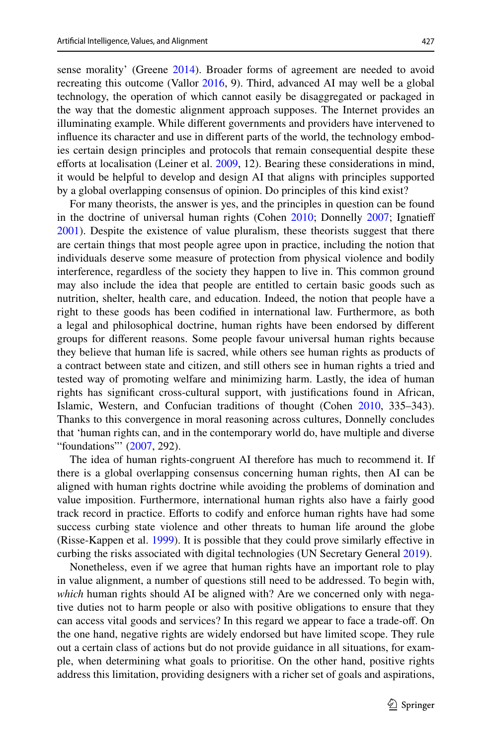sense morality' (Greene [2014](#page-24-19)). Broader forms of agreement are needed to avoid recreating this outcome (Vallor [2016,](#page-26-3) 9). Third, advanced AI may well be a global technology, the operation of which cannot easily be disaggregated or packaged in the way that the domestic alignment approach supposes. The Internet provides an illuminating example. While diferent governments and providers have intervened to infuence its character and use in diferent parts of the world, the technology embodies certain design principles and protocols that remain consequential despite these efforts at localisation (Leiner et al. [2009,](#page-24-26) 12). Bearing these considerations in mind, it would be helpful to develop and design AI that aligns with principles supported by a global overlapping consensus of opinion. Do principles of this kind exist?

For many theorists, the answer is yes, and the principles in question can be found in the doctrine of universal human rights (Cohen [2010](#page-23-21); Donnelly [2007;](#page-23-22) Ignatieff [2001](#page-24-27)). Despite the existence of value pluralism, these theorists suggest that there are certain things that most people agree upon in practice, including the notion that individuals deserve some measure of protection from physical violence and bodily interference, regardless of the society they happen to live in. This common ground may also include the idea that people are entitled to certain basic goods such as nutrition, shelter, health care, and education. Indeed, the notion that people have a right to these goods has been codifed in international law. Furthermore, as both a legal and philosophical doctrine, human rights have been endorsed by diferent groups for diferent reasons. Some people favour universal human rights because they believe that human life is sacred, while others see human rights as products of a contract between state and citizen, and still others see in human rights a tried and tested way of promoting welfare and minimizing harm. Lastly, the idea of human rights has signifcant cross-cultural support, with justifcations found in African, Islamic, Western, and Confucian traditions of thought (Cohen [2010](#page-23-21), 335–343). Thanks to this convergence in moral reasoning across cultures, Donnelly concludes that 'human rights can, and in the contemporary world do, have multiple and diverse "foundations" ([2007,](#page-23-22) 292).

The idea of human rights-congruent AI therefore has much to recommend it. If there is a global overlapping consensus concerning human rights, then AI can be aligned with human rights doctrine while avoiding the problems of domination and value imposition. Furthermore, international human rights also have a fairly good track record in practice. Eforts to codify and enforce human rights have had some success curbing state violence and other threats to human life around the globe (Risse-Kappen et al. [1999\)](#page-25-32). It is possible that they could prove similarly efective in curbing the risks associated with digital technologies (UN Secretary General [2019](#page-26-9)).

Nonetheless, even if we agree that human rights have an important role to play in value alignment, a number of questions still need to be addressed. To begin with, *which* human rights should AI be aligned with? Are we concerned only with negative duties not to harm people or also with positive obligations to ensure that they can access vital goods and services? In this regard we appear to face a trade-of. On the one hand, negative rights are widely endorsed but have limited scope. They rule out a certain class of actions but do not provide guidance in all situations, for example, when determining what goals to prioritise. On the other hand, positive rights address this limitation, providing designers with a richer set of goals and aspirations,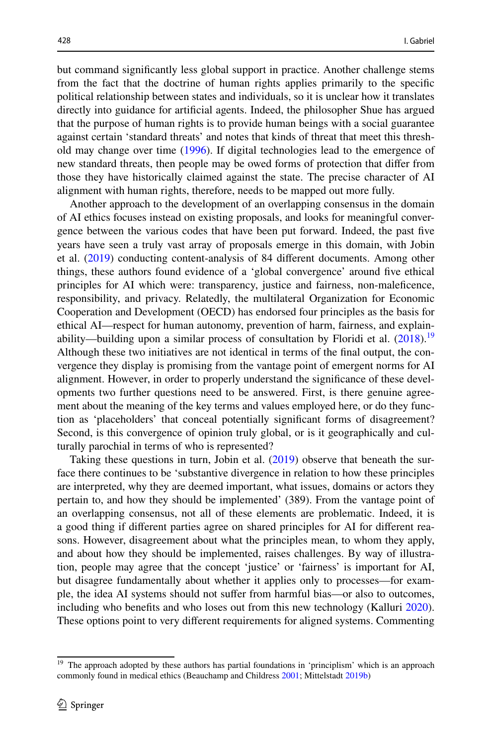but command signifcantly less global support in practice. Another challenge stems from the fact that the doctrine of human rights applies primarily to the specifc political relationship between states and individuals, so it is unclear how it translates directly into guidance for artifcial agents. Indeed, the philosopher Shue has argued that the purpose of human rights is to provide human beings with a social guarantee against certain 'standard threats' and notes that kinds of threat that meet this threshold may change over time [\(1996](#page-25-33)). If digital technologies lead to the emergence of new standard threats, then people may be owed forms of protection that difer from those they have historically claimed against the state. The precise character of AI alignment with human rights, therefore, needs to be mapped out more fully.

Another approach to the development of an overlapping consensus in the domain of AI ethics focuses instead on existing proposals, and looks for meaningful convergence between the various codes that have been put forward. Indeed, the past fve years have seen a truly vast array of proposals emerge in this domain, with Jobin et al. [\(2019](#page-24-28)) conducting content-analysis of 84 diferent documents. Among other things, these authors found evidence of a 'global convergence' around fve ethical principles for AI which were: transparency, justice and fairness, non-malefcence, responsibility, and privacy. Relatedly, the multilateral Organization for Economic Cooperation and Development (OECD) has endorsed four principles as the basis for ethical AI—respect for human autonomy, prevention of harm, fairness, and explainability—building upon a similar process of consultation by Floridi et al.  $(2018)^{19}$  $(2018)^{19}$  $(2018)^{19}$  $(2018)^{19}$  $(2018)^{19}$ Although these two initiatives are not identical in terms of the fnal output, the convergence they display is promising from the vantage point of emergent norms for AI alignment. However, in order to properly understand the signifcance of these developments two further questions need to be answered. First, is there genuine agreement about the meaning of the key terms and values employed here, or do they function as 'placeholders' that conceal potentially signifcant forms of disagreement? Second, is this convergence of opinion truly global, or is it geographically and culturally parochial in terms of who is represented?

Taking these questions in turn, Jobin et al. [\(2019](#page-24-28)) observe that beneath the surface there continues to be 'substantive divergence in relation to how these principles are interpreted, why they are deemed important, what issues, domains or actors they pertain to, and how they should be implemented' (389). From the vantage point of an overlapping consensus, not all of these elements are problematic. Indeed, it is a good thing if diferent parties agree on shared principles for AI for diferent reasons. However, disagreement about what the principles mean, to whom they apply, and about how they should be implemented, raises challenges. By way of illustration, people may agree that the concept 'justice' or 'fairness' is important for AI, but disagree fundamentally about whether it applies only to processes—for example, the idea AI systems should not sufer from harmful bias—or also to outcomes, including who benefts and who loses out from this new technology (Kalluri [2020\)](#page-24-30). These options point to very diferent requirements for aligned systems. Commenting

<span id="page-17-0"></span><sup>&</sup>lt;sup>19</sup> The approach adopted by these authors has partial foundations in 'principlism' which is an approach commonly found in medical ethics (Beauchamp and Childress [2001;](#page-23-23) Mittelstadt [2019b\)](#page-25-34)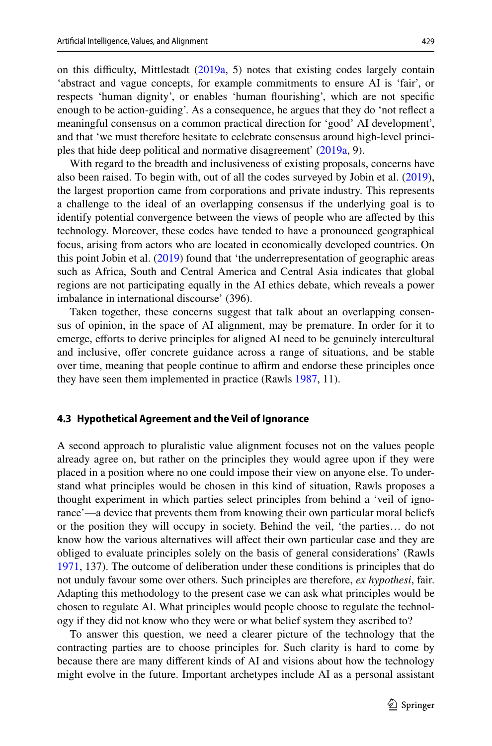on this difficulty, Mittlestadt  $(2019a, 5)$  $(2019a, 5)$  $(2019a, 5)$  notes that existing codes largely contain 'abstract and vague concepts, for example commitments to ensure AI is 'fair', or respects 'human dignity', or enables 'human fourishing', which are not specifc enough to be action-guiding'. As a consequence, he argues that they do 'not refect a meaningful consensus on a common practical direction for 'good' AI development', and that 'we must therefore hesitate to celebrate consensus around high-level principles that hide deep political and normative disagreement' ([2019a](#page-24-31), 9).

With regard to the breadth and inclusiveness of existing proposals, concerns have also been raised. To begin with, out of all the codes surveyed by Jobin et al. ([2019\)](#page-24-28), the largest proportion came from corporations and private industry. This represents a challenge to the ideal of an overlapping consensus if the underlying goal is to identify potential convergence between the views of people who are afected by this technology. Moreover, these codes have tended to have a pronounced geographical focus, arising from actors who are located in economically developed countries. On this point Jobin et al. ([2019\)](#page-24-28) found that 'the underrepresentation of geographic areas such as Africa, South and Central America and Central Asia indicates that global regions are not participating equally in the AI ethics debate, which reveals a power imbalance in international discourse' (396).

Taken together, these concerns suggest that talk about an overlapping consensus of opinion, in the space of AI alignment, may be premature. In order for it to emerge, efforts to derive principles for aligned AI need to be genuinely intercultural and inclusive, ofer concrete guidance across a range of situations, and be stable over time, meaning that people continue to affirm and endorse these principles once they have seen them implemented in practice (Rawls [1987,](#page-25-35) 11).

#### **4.3 Hypothetical Agreement and the Veil of Ignorance**

A second approach to pluralistic value alignment focuses not on the values people already agree on, but rather on the principles they would agree upon if they were placed in a position where no one could impose their view on anyone else. To understand what principles would be chosen in this kind of situation, Rawls proposes a thought experiment in which parties select principles from behind a 'veil of ignorance'—a device that prevents them from knowing their own particular moral beliefs or the position they will occupy in society. Behind the veil, 'the parties… do not know how the various alternatives will affect their own particular case and they are obliged to evaluate principles solely on the basis of general considerations' (Rawls [1971](#page-25-36), 137). The outcome of deliberation under these conditions is principles that do not unduly favour some over others. Such principles are therefore, *ex hypothesi*, fair. Adapting this methodology to the present case we can ask what principles would be chosen to regulate AI. What principles would people choose to regulate the technology if they did not know who they were or what belief system they ascribed to?

To answer this question, we need a clearer picture of the technology that the contracting parties are to choose principles for. Such clarity is hard to come by because there are many diferent kinds of AI and visions about how the technology might evolve in the future. Important archetypes include AI as a personal assistant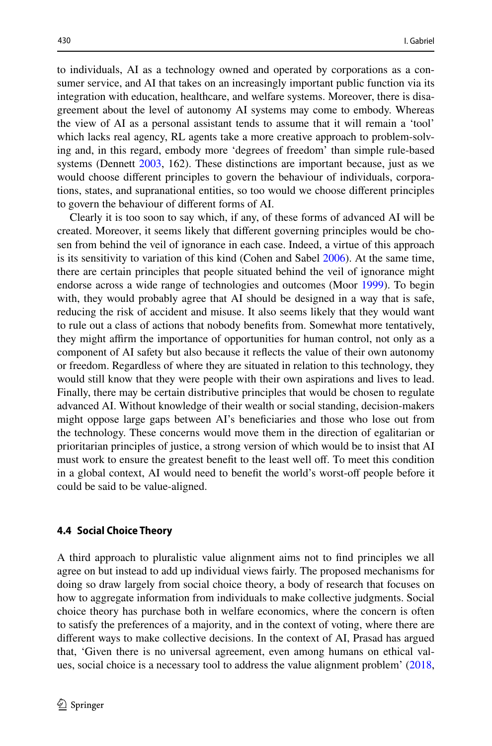to individuals, AI as a technology owned and operated by corporations as a consumer service, and AI that takes on an increasingly important public function via its integration with education, healthcare, and welfare systems. Moreover, there is disagreement about the level of autonomy AI systems may come to embody. Whereas the view of AI as a personal assistant tends to assume that it will remain a 'tool' which lacks real agency, RL agents take a more creative approach to problem-solving and, in this regard, embody more 'degrees of freedom' than simple rule-based systems (Dennett [2003](#page-23-24), 162). These distinctions are important because, just as we would choose diferent principles to govern the behaviour of individuals, corporations, states, and supranational entities, so too would we choose diferent principles to govern the behaviour of diferent forms of AI.

Clearly it is too soon to say which, if any, of these forms of advanced AI will be created. Moreover, it seems likely that diferent governing principles would be chosen from behind the veil of ignorance in each case. Indeed, a virtue of this approach is its sensitivity to variation of this kind (Cohen and Sabel [2006\)](#page-23-25). At the same time, there are certain principles that people situated behind the veil of ignorance might endorse across a wide range of technologies and outcomes (Moor [1999\)](#page-25-24). To begin with, they would probably agree that AI should be designed in a way that is safe, reducing the risk of accident and misuse. It also seems likely that they would want to rule out a class of actions that nobody benefts from. Somewhat more tentatively, they might affirm the importance of opportunities for human control, not only as a component of AI safety but also because it refects the value of their own autonomy or freedom. Regardless of where they are situated in relation to this technology, they would still know that they were people with their own aspirations and lives to lead. Finally, there may be certain distributive principles that would be chosen to regulate advanced AI. Without knowledge of their wealth or social standing, decision-makers might oppose large gaps between AI's benefciaries and those who lose out from the technology. These concerns would move them in the direction of egalitarian or prioritarian principles of justice, a strong version of which would be to insist that AI must work to ensure the greatest benefit to the least well off. To meet this condition in a global context, AI would need to benefit the world's worst-off people before it could be said to be value-aligned.

#### **4.4 Social Choice Theory**

A third approach to pluralistic value alignment aims not to fnd principles we all agree on but instead to add up individual views fairly. The proposed mechanisms for doing so draw largely from social choice theory, a body of research that focuses on how to aggregate information from individuals to make collective judgments. Social choice theory has purchase both in welfare economics, where the concern is often to satisfy the preferences of a majority, and in the context of voting, where there are diferent ways to make collective decisions. In the context of AI, Prasad has argued that, 'Given there is no universal agreement, even among humans on ethical values, social choice is a necessary tool to address the value alignment problem' ([2018,](#page-25-37)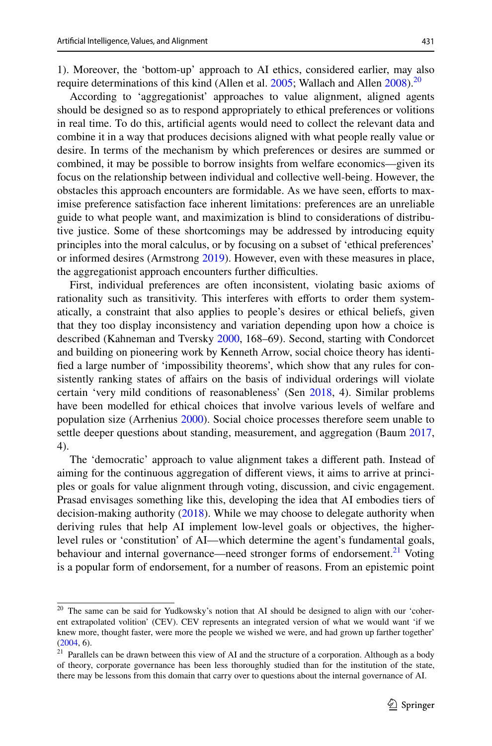1). Moreover, the 'bottom-up' approach to AI ethics, considered earlier, may also require determinations of this kind (Allen et al. [2005;](#page-23-0) Wallach and Allen  $2008$  $2008$ ).<sup>20</sup>

According to 'aggregationist' approaches to value alignment, aligned agents should be designed so as to respond appropriately to ethical preferences or volitions in real time. To do this, artifcial agents would need to collect the relevant data and combine it in a way that produces decisions aligned with what people really value or desire. In terms of the mechanism by which preferences or desires are summed or combined, it may be possible to borrow insights from welfare economics—given its focus on the relationship between individual and collective well-being. However, the obstacles this approach encounters are formidable. As we have seen, efforts to maximise preference satisfaction face inherent limitations: preferences are an unreliable guide to what people want, and maximization is blind to considerations of distributive justice. Some of these shortcomings may be addressed by introducing equity principles into the moral calculus, or by focusing on a subset of 'ethical preferences' or informed desires (Armstrong [2019\)](#page-23-26). However, even with these measures in place, the aggregationist approach encounters further difficulties.

First, individual preferences are often inconsistent, violating basic axioms of rationality such as transitivity. This interferes with efforts to order them systematically, a constraint that also applies to people's desires or ethical beliefs, given that they too display inconsistency and variation depending upon how a choice is described (Kahneman and Tversky [2000](#page-24-32), 168–69). Second, starting with Condorcet and building on pioneering work by Kenneth Arrow, social choice theory has identifed a large number of 'impossibility theorems', which show that any rules for consistently ranking states of afairs on the basis of individual orderings will violate certain 'very mild conditions of reasonableness' (Sen [2018,](#page-25-38) 4). Similar problems have been modelled for ethical choices that involve various levels of welfare and population size (Arrhenius [2000\)](#page-23-27). Social choice processes therefore seem unable to settle deeper questions about standing, measurement, and aggregation (Baum [2017,](#page-23-28) 4).

The 'democratic' approach to value alignment takes a diferent path. Instead of aiming for the continuous aggregation of diferent views, it aims to arrive at principles or goals for value alignment through voting, discussion, and civic engagement. Prasad envisages something like this, developing the idea that AI embodies tiers of decision-making authority ([2018\)](#page-25-37). While we may choose to delegate authority when deriving rules that help AI implement low-level goals or objectives, the higherlevel rules or 'constitution' of AI—which determine the agent's fundamental goals, behaviour and internal governance—need stronger forms of endorsement.<sup>[21](#page-20-1)</sup> Voting is a popular form of endorsement, for a number of reasons. From an epistemic point

<span id="page-20-0"></span><sup>&</sup>lt;sup>20</sup> The same can be said for Yudkowsky's notion that AI should be designed to align with our 'coherent extrapolated volition' (CEV). CEV represents an integrated version of what we would want 'if we knew more, thought faster, were more the people we wished we were, and had grown up farther together'  $(2004, 6)$  $(2004, 6)$  $(2004, 6)$ .

<span id="page-20-1"></span><sup>&</sup>lt;sup>21</sup> Parallels can be drawn between this view of AI and the structure of a corporation. Although as a body of theory, corporate governance has been less thoroughly studied than for the institution of the state, there may be lessons from this domain that carry over to questions about the internal governance of AI.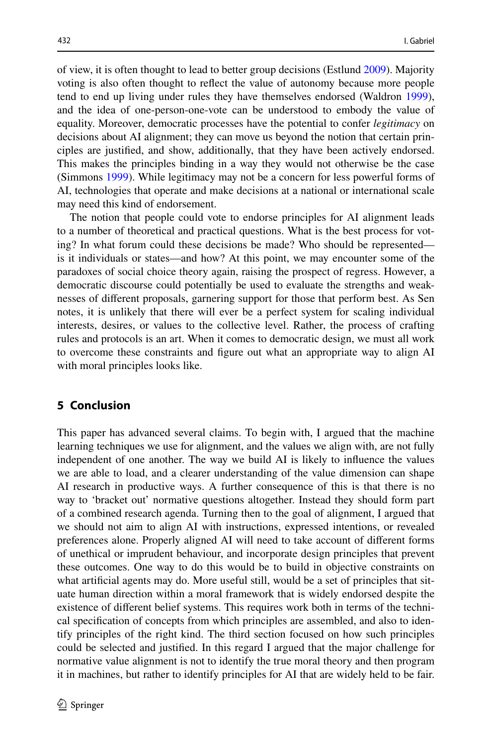of view, it is often thought to lead to better group decisions (Estlund [2009\)](#page-24-33). Majority voting is also often thought to refect the value of autonomy because more people tend to end up living under rules they have themselves endorsed (Waldron [1999\)](#page-26-12), and the idea of one-person-one-vote can be understood to embody the value of equality. Moreover, democratic processes have the potential to confer *legitimacy* on decisions about AI alignment; they can move us beyond the notion that certain principles are justifed, and show, additionally, that they have been actively endorsed. This makes the principles binding in a way they would not otherwise be the case (Simmons [1999\)](#page-25-39). While legitimacy may not be a concern for less powerful forms of AI, technologies that operate and make decisions at a national or international scale may need this kind of endorsement.

The notion that people could vote to endorse principles for AI alignment leads to a number of theoretical and practical questions. What is the best process for voting? In what forum could these decisions be made? Who should be represented is it individuals or states—and how? At this point, we may encounter some of the paradoxes of social choice theory again, raising the prospect of regress. However, a democratic discourse could potentially be used to evaluate the strengths and weaknesses of diferent proposals, garnering support for those that perform best. As Sen notes, it is unlikely that there will ever be a perfect system for scaling individual interests, desires, or values to the collective level. Rather, the process of crafting rules and protocols is an art. When it comes to democratic design, we must all work to overcome these constraints and fgure out what an appropriate way to align AI with moral principles looks like.

### **5 Conclusion**

This paper has advanced several claims. To begin with, I argued that the machine learning techniques we use for alignment, and the values we align with, are not fully independent of one another. The way we build AI is likely to infuence the values we are able to load, and a clearer understanding of the value dimension can shape AI research in productive ways. A further consequence of this is that there is no way to 'bracket out' normative questions altogether. Instead they should form part of a combined research agenda. Turning then to the goal of alignment, I argued that we should not aim to align AI with instructions, expressed intentions, or revealed preferences alone. Properly aligned AI will need to take account of diferent forms of unethical or imprudent behaviour, and incorporate design principles that prevent these outcomes. One way to do this would be to build in objective constraints on what artificial agents may do. More useful still, would be a set of principles that situate human direction within a moral framework that is widely endorsed despite the existence of diferent belief systems. This requires work both in terms of the technical specifcation of concepts from which principles are assembled, and also to identify principles of the right kind. The third section focused on how such principles could be selected and justifed. In this regard I argued that the major challenge for normative value alignment is not to identify the true moral theory and then program it in machines, but rather to identify principles for AI that are widely held to be fair.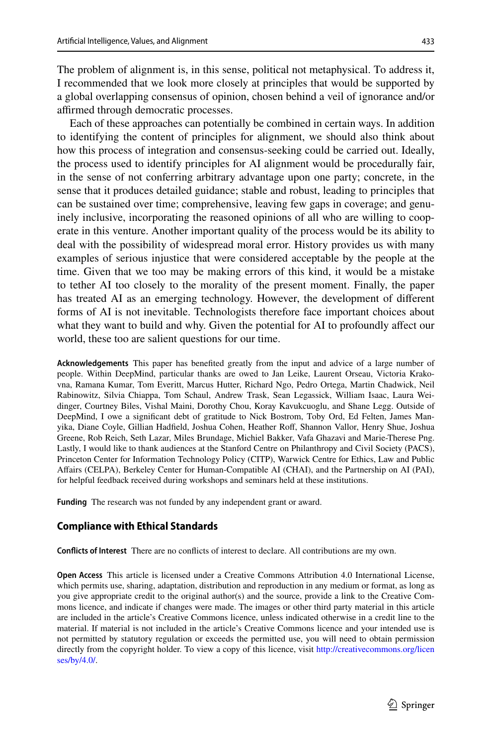The problem of alignment is, in this sense, political not metaphysical. To address it, I recommended that we look more closely at principles that would be supported by a global overlapping consensus of opinion, chosen behind a veil of ignorance and/or affirmed through democratic processes.

Each of these approaches can potentially be combined in certain ways. In addition to identifying the content of principles for alignment, we should also think about how this process of integration and consensus-seeking could be carried out. Ideally, the process used to identify principles for AI alignment would be procedurally fair, in the sense of not conferring arbitrary advantage upon one party; concrete, in the sense that it produces detailed guidance; stable and robust, leading to principles that can be sustained over time; comprehensive, leaving few gaps in coverage; and genuinely inclusive, incorporating the reasoned opinions of all who are willing to cooperate in this venture. Another important quality of the process would be its ability to deal with the possibility of widespread moral error. History provides us with many examples of serious injustice that were considered acceptable by the people at the time. Given that we too may be making errors of this kind, it would be a mistake to tether AI too closely to the morality of the present moment. Finally, the paper has treated AI as an emerging technology. However, the development of diferent forms of AI is not inevitable. Technologists therefore face important choices about what they want to build and why. Given the potential for AI to profoundly afect our world, these too are salient questions for our time.

**Acknowledgements** This paper has benefted greatly from the input and advice of a large number of people. Within DeepMind, particular thanks are owed to Jan Leike, Laurent Orseau, Victoria Krakovna, Ramana Kumar, Tom Everitt, Marcus Hutter, Richard Ngo, Pedro Ortega, Martin Chadwick, Neil Rabinowitz, Silvia Chiappa, Tom Schaul, Andrew Trask, Sean Legassick, William Isaac, Laura Weidinger, Courtney Biles, Vishal Maini, Dorothy Chou, Koray Kavukcuoglu, and Shane Legg. Outside of DeepMind, I owe a signifcant debt of gratitude to Nick Bostrom, Toby Ord, Ed Felten, James Manyika, Diane Coyle, Gillian Hadfield, Joshua Cohen, Heather Roff, Shannon Vallor, Henry Shue, Joshua Greene, Rob Reich, Seth Lazar, Miles Brundage, Michiel Bakker, Vafa Ghazavi and Marie-Therese Png. Lastly, I would like to thank audiences at the Stanford Centre on Philanthropy and Civil Society (PACS), Princeton Center for Information Technology Policy (CITP), Warwick Centre for Ethics, Law and Public Afairs (CELPA), Berkeley Center for Human-Compatible AI (CHAI), and the Partnership on AI (PAI), for helpful feedback received during workshops and seminars held at these institutions.

**Funding** The research was not funded by any independent grant or award.

#### **Compliance with Ethical Standards**

**Conficts of Interest** There are no conficts of interest to declare. All contributions are my own.

**Open Access** This article is licensed under a Creative Commons Attribution 4.0 International License, which permits use, sharing, adaptation, distribution and reproduction in any medium or format, as long as you give appropriate credit to the original author(s) and the source, provide a link to the Creative Commons licence, and indicate if changes were made. The images or other third party material in this article are included in the article's Creative Commons licence, unless indicated otherwise in a credit line to the material. If material is not included in the article's Creative Commons licence and your intended use is not permitted by statutory regulation or exceeds the permitted use, you will need to obtain permission directly from the copyright holder. To view a copy of this licence, visit [http://creativecommons.org/licen](http://creativecommons.org/licenses/by/4.0/) [ses/by/4.0/](http://creativecommons.org/licenses/by/4.0/).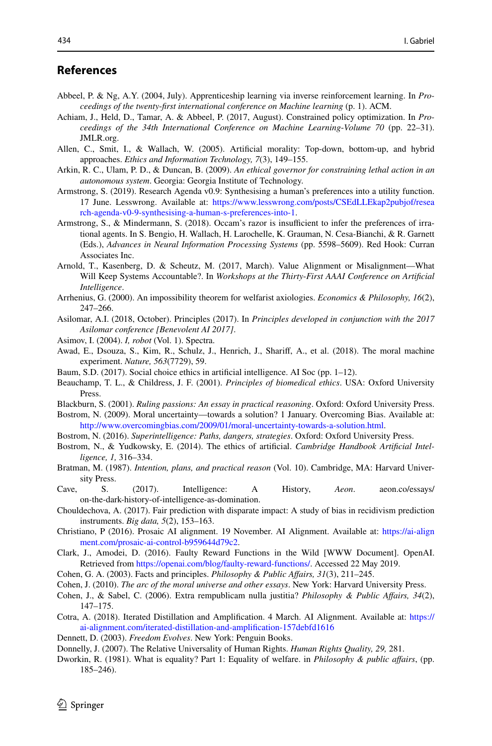### **References**

- <span id="page-23-7"></span>Abbeel, P. & Ng, A.Y. (2004, July). Apprenticeship learning via inverse reinforcement learning. In *Proceedings of the twenty*-*frst international conference on Machine learning* (p. 1). ACM.
- <span id="page-23-4"></span>Achiam, J., Held, D., Tamar, A. & Abbeel, P. (2017, August). Constrained policy optimization. In *Proceedings of the 34th International Conference on Machine Learning*-*Volume 70* (pp. 22–31). JMLR.org.
- <span id="page-23-0"></span>Allen, C., Smit, I., & Wallach, W. (2005). Artifcial morality: Top-down, bottom-up, and hybrid approaches. *Ethics and Information Technology, 7*(3), 149–155.
- <span id="page-23-6"></span>Arkin, R. C., Ulam, P. D., & Duncan, B. (2009). *An ethical governor for constraining lethal action in an autonomous system*. Georgia: Georgia Institute of Technology.
- <span id="page-23-26"></span>Armstrong, S. (2019). Research Agenda v0.9: Synthesising a human's preferences into a utility function. 17 June. Lesswrong. Available at: [https://www.lesswrong.com/posts/CSEdLLEkap2pubjof/resea](https://www.lesswrong.com/posts/CSEdLLEkap2pubjof/research-agenda-v0-9-synthesising-a-human-s-preferences-into-1) [rch-agenda-v0-9-synthesising-a-human-s-preferences-into-1.](https://www.lesswrong.com/posts/CSEdLLEkap2pubjof/research-agenda-v0-9-synthesising-a-human-s-preferences-into-1)
- <span id="page-23-15"></span>Armstrong, S., & Mindermann, S. (2018). Occam's razor is insufficient to infer the preferences of irrational agents. In S. Bengio, H. Wallach, H. Larochelle, K. Grauman, N. Cesa-Bianchi, & R. Garnett (Eds.), *Advances in Neural Information Processing Systems* (pp. 5598–5609). Red Hook: Curran Associates Inc.
- <span id="page-23-5"></span>Arnold, T., Kasenberg, D. & Scheutz, M. (2017, March). Value Alignment or Misalignment—What Will Keep Systems Accountable?. In *Workshops at the Thirty*-*First AAAI Conference on Artifcial Intelligence*.
- <span id="page-23-27"></span>Arrhenius, G. (2000). An impossibility theorem for welfarist axiologies. *Economics & Philosophy, 16*(2), 247–266.
- <span id="page-23-9"></span>Asilomar, A.I. (2018, October). Principles (2017). In *Principles developed in conjunction with the 2017 Asilomar conference [Benevolent AI 2017]*.
- <span id="page-23-18"></span>Asimov, I. (2004). *I, robot* (Vol. 1). Spectra.
- <span id="page-23-12"></span>Awad, E., Dsouza, S., Kim, R., Schulz, J., Henrich, J., Sharif, A., et al. (2018). The moral machine experiment. *Nature, 563*(7729), 59.
- <span id="page-23-28"></span>Baum, S.D. (2017). Social choice ethics in artifcial intelligence. AI Soc (pp. 1–12).
- <span id="page-23-23"></span>Beauchamp, T. L., & Childress, J. F. (2001). *Principles of biomedical ethics*. USA: Oxford University **Press**.
- <span id="page-23-17"></span>Blackburn, S. (2001). *Ruling passions: An essay in practical reasoning*. Oxford: Oxford University Press.
- <span id="page-23-19"></span>Bostrom, N. (2009). Moral uncertainty—towards a solution? 1 January. Overcoming Bias. Available at: [http://www.overcomingbias.com/2009/01/moral-uncertainty-towards-a-solution.html.](http://www.overcomingbias.com/2009/01/moral-uncertainty-towards-a-solution.html)
- <span id="page-23-3"></span>Bostrom, N. (2016). *Superintelligence: Paths, dangers, strategies*. Oxford: Oxford University Press.
- <span id="page-23-14"></span>Bostrom, N., & Yudkowsky, E. (2014). The ethics of artifcial. *Cambridge Handbook Artifcial Intelligence, 1,* 316–334.
- <span id="page-23-13"></span>Bratman, M. (1987). *Intention, plans, and practical reason* (Vol. 10). Cambridge, MA: Harvard University Press.
- <span id="page-23-1"></span>Cave, S. (2017). Intelligence: A History, *Aeon*. aeon.co/essays/ on-the-dark-history-of-intelligence-as-domination.
- <span id="page-23-20"></span>Chouldechova, A. (2017). Fair prediction with disparate impact: A study of bias in recidivism prediction instruments. *Big data, 5*(2), 153–163.
- <span id="page-23-2"></span>Christiano, P (2016). Prosaic AI alignment. 19 November. AI Alignment. Available at: [https://ai-align](https://ai-alignment.com/prosaic-ai-control-b959644d79c2) [ment.com/prosaic-ai-control-b959644d79c2.](https://ai-alignment.com/prosaic-ai-control-b959644d79c2)
- <span id="page-23-10"></span>Clark, J., Amodei, D. (2016). Faulty Reward Functions in the Wild [WWW Document]. OpenAI. Retrieved from <https://openai.com/blog/faulty-reward-functions/>. Accessed 22 May 2019.
- <span id="page-23-8"></span>Cohen, G. A. (2003). Facts and principles. *Philosophy & Public Afairs, 31*(3), 211–245.
- <span id="page-23-21"></span>Cohen, J. (2010). *The arc of the moral universe and other essays*. New York: Harvard University Press.
- <span id="page-23-25"></span>Cohen, J., & Sabel, C. (2006). Extra rempublicam nulla justitia? *Philosophy & Public Afairs, 34*(2), 147–175.
- <span id="page-23-11"></span>Cotra, A. (2018). Iterated Distillation and Amplifcation. 4 March. AI Alignment. Available at: [https://](https://ai-alignment.com/iterated-distillation-and-amplification-157debfd1616) [ai-alignment.com/iterated-distillation-and-amplifcation-157debfd1616](https://ai-alignment.com/iterated-distillation-and-amplification-157debfd1616)
- <span id="page-23-24"></span>Dennett, D. (2003). *Freedom Evolves*. New York: Penguin Books.
- <span id="page-23-22"></span>Donnelly, J. (2007). The Relative Universality of Human Rights. *Human Rights Quality, 29,* 281.
- <span id="page-23-16"></span>Dworkin, R. (1981). What is equality? Part 1: Equality of welfare. in *Philosophy & public afairs*, (pp. 185–246).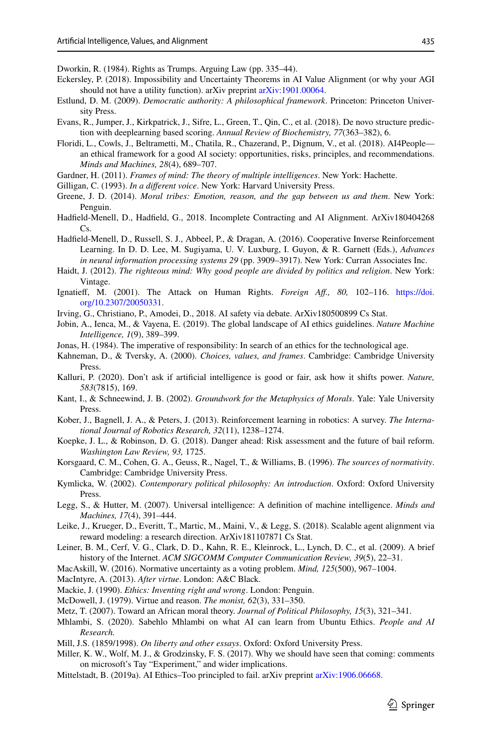<span id="page-24-7"></span>Dworkin, R. (1984). Rights as Trumps. Arguing Law (pp. 335–44).

- <span id="page-24-14"></span>Eckersley, P. (2018). Impossibility and Uncertainty Theorems in AI Value Alignment (or why your AGI should not have a utility function). arXiv preprint [arXiv:1901.00064.](http://arxiv.org/abs/1901.00064)
- <span id="page-24-33"></span>Estlund, D. M. (2009). *Democratic authority: A philosophical framework*. Princeton: Princeton University Press.
- <span id="page-24-6"></span>Evans, R., Jumper, J., Kirkpatrick, J., Sifre, L., Green, T., Qin, C., et al. (2018). De novo structure prediction with deeplearning based scoring. *Annual Review of Biochemistry, 77*(363–382), 6.
- <span id="page-24-29"></span>Floridi, L., Cowls, J., Beltrametti, M., Chatila, R., Chazerand, P., Dignum, V., et al. (2018). AI4People an ethical framework for a good AI society: opportunities, risks, principles, and recommendations. *Minds and Machines, 28*(4), 689–707.
- <span id="page-24-2"></span>Gardner, H. (2011). *Frames of mind: The theory of multiple intelligences*. New York: Hachette.
- <span id="page-24-23"></span>Gilligan, C. (1993). *In a diferent voice*. New York: Harvard University Press.
- <span id="page-24-19"></span>Greene, J. D. (2014). *Moral tribes: Emotion, reason, and the gap between us and them*. New York: Penguin.
- <span id="page-24-11"></span>Hadfeld-Menell, D., Hadfeld, G., 2018. Incomplete Contracting and AI Alignment. ArXiv180404268  $Cs$
- <span id="page-24-12"></span>Hadfeld-Menell, D., Russell, S. J., Abbeel, P., & Dragan, A. (2016). Cooperative Inverse Reinforcement Learning. In D. D. Lee, M. Sugiyama, U. V. Luxburg, I. Guyon, & R. Garnett (Eds.), *Advances in neural information processing systems 29* (pp. 3909–3917). New York: Curran Associates Inc.
- <span id="page-24-18"></span>Haidt, J. (2012). *The righteous mind: Why good people are divided by politics and religion*. New York: Vintage.
- <span id="page-24-27"></span>Ignatief, M. (2001). The Attack on Human Rights. *Foreign Af., 80,* 102–116. [https://doi.](https://doi.org/10.2307/20050331) [org/10.2307/20050331.](https://doi.org/10.2307/20050331)
- <span id="page-24-3"></span>Irving, G., Christiano, P., Amodei, D., 2018. AI safety via debate. ArXiv180500899 Cs Stat.
- <span id="page-24-28"></span>Jobin, A., Ienca, M., & Vayena, E. (2019). The global landscape of AI ethics guidelines. *Nature Machine Intelligence, 1*(9), 389–399.
- <span id="page-24-16"></span>Jonas, H. (1984). The imperative of responsibility: In search of an ethics for the technological age.
- <span id="page-24-32"></span>Kahneman, D., & Tversky, A. (2000). *Choices, values, and frames*. Cambridge: Cambridge University Press.
- <span id="page-24-30"></span>Kalluri, P. (2020). Don't ask if artifcial intelligence is good or fair, ask how it shifts power. *Nature, 583*(7815), 169.
- <span id="page-24-8"></span>Kant, I., & Schneewind, J. B. (2002). *Groundwork for the Metaphysics of Morals*. Yale: Yale University Press.
- <span id="page-24-5"></span>Kober, J., Bagnell, J. A., & Peters, J. (2013). Reinforcement learning in robotics: A survey. *The International Journal of Robotics Research, 32*(11), 1238–1274.
- <span id="page-24-25"></span>Koepke, J. L., & Robinson, D. G. (2018). Danger ahead: Risk assessment and the future of bail reform. *Washington Law Review, 93,* 1725.
- <span id="page-24-15"></span>Korsgaard, C. M., Cohen, G. A., Geuss, R., Nagel, T., & Williams, B. (1996). *The sources of normativity*. Cambridge: Cambridge University Press.
- <span id="page-24-13"></span>Kymlicka, W. (2002). *Contemporary political philosophy: An introduction*. Oxford: Oxford University Press.
- <span id="page-24-0"></span>Legg, S., & Hutter, M. (2007). Universal intelligence: A defnition of machine intelligence. *Minds and Machines, 17*(4), 391–444.
- <span id="page-24-4"></span>Leike, J., Krueger, D., Everitt, T., Martic, M., Maini, V., & Legg, S. (2018). Scalable agent alignment via reward modeling: a research direction. ArXiv181107871 Cs Stat.
- <span id="page-24-26"></span>Leiner, B. M., Cerf, V. G., Clark, D. D., Kahn, R. E., Kleinrock, L., Lynch, D. C., et al. (2009). A brief history of the Internet. *ACM SIGCOMM Computer Communication Review, 39*(5), 22–31.
- <span id="page-24-24"></span>MacAskill, W. (2016). Normative uncertainty as a voting problem. *Mind, 125*(500), 967–1004.
- <span id="page-24-9"></span>MacIntyre, A. (2013). *After virtue*. London: A&C Black.
- <span id="page-24-17"></span>Mackie, J. (1990). *Ethics: Inventing right and wrong*. London: Penguin.
- <span id="page-24-10"></span>McDowell, J. (1979). Virtue and reason. *The monist, 62*(3), 331–350.
- <span id="page-24-21"></span>Metz, T. (2007). Toward an African moral theory. *Journal of Political Philosophy, 15*(3), 321–341.
- <span id="page-24-22"></span>Mhlambi, S. (2020). Sabehlo Mhlambi on what AI can learn from Ubuntu Ethics. *People and AI Research.*
- <span id="page-24-20"></span>Mill, J.S. (1859/1998). *On liberty and other essays*. Oxford: Oxford University Press.
- <span id="page-24-1"></span>Miller, K. W., Wolf, M. J., & Grodzinsky, F. S. (2017). Why we should have seen that coming: comments on microsoft's Tay "Experiment," and wider implications.
- <span id="page-24-31"></span>Mittelstadt, B. (2019a). AI Ethics–Too principled to fail. arXiv preprint [arXiv:1906.06668](http://arxiv.org/abs/1906.06668).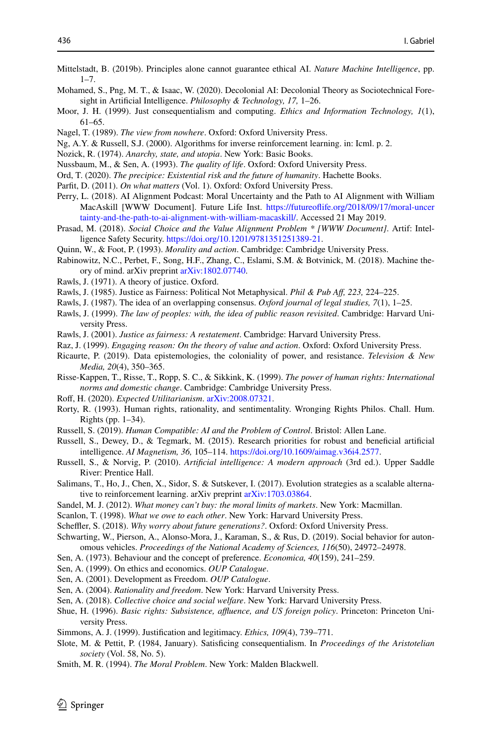- <span id="page-25-34"></span>Mittelstadt, B. (2019b). Principles alone cannot guarantee ethical AI. *Nature Machine Intelligence*, pp.  $1 - 7$
- <span id="page-25-26"></span>Mohamed, S., Png, M. T., & Isaac, W. (2020). Decolonial AI: Decolonial Theory as Sociotechnical Foresight in Artifcial Intelligence. *Philosophy & Technology, 17,* 1–26.
- <span id="page-25-24"></span>Moor, J. H. (1999). Just consequentialism and computing. *Ethics and Information Technology, 1*(1), 61–65.
- <span id="page-25-20"></span>Nagel, T. (1989). *The view from nowhere*. Oxford: Oxford University Press.
- <span id="page-25-6"></span>Ng, A.Y. & Russell, S.J. (2000). Algorithms for inverse reinforcement learning. in: Icml. p. 2.
- <span id="page-25-4"></span>Nozick, R. (1974). *Anarchy, state, and utopia*. New York: Basic Books.
- <span id="page-25-16"></span>Nussbaum, M., & Sen, A. (1993). *The quality of life*. Oxford: Oxford University Press.
- <span id="page-25-23"></span>Ord, T. (2020). *The precipice: Existential risk and the future of humanity*. Hachette Books.
- <span id="page-25-12"></span>Parft, D. (2011). *On what matters* (Vol. 1). Oxford: Oxford University Press.
- <span id="page-25-27"></span>Perry, L. (2018). AI Alignment Podcast: Moral Uncertainty and the Path to AI Alignment with William MacAskill [WWW Document]. Future Life Inst. [https://futureofife.org/2018/09/17/moral-uncer](https://futureoflife.org/2018/09/17/moral-uncertainty-and-the-path-to-ai-alignment-with-william-macaskill/) [tainty-and-the-path-to-ai-alignment-with-william-macaskill/](https://futureoflife.org/2018/09/17/moral-uncertainty-and-the-path-to-ai-alignment-with-william-macaskill/). Accessed 21 May 2019.
- <span id="page-25-37"></span>Prasad, M. (2018). *Social Choice and the Value Alignment Problem \* [WWW Document]*. Artif: Intelligence Safety Security. [https://doi.org/10.1201/9781351251389-21.](https://doi.org/10.1201/9781351251389-21)
- <span id="page-25-14"></span>Quinn, W., & Foot, P. (1993). *Morality and action*. Cambridge: Cambridge University Press.
- <span id="page-25-7"></span>Rabinowitz, N.C., Perbet, F., Song, H.F., Zhang, C., Eslami, S.M. & Botvinick, M. (2018). Machine theory of mind. arXiv preprint [arXiv:1802.07740](http://arxiv.org/abs/1802.07740).
- <span id="page-25-36"></span>Rawls, J. (1971). A theory of justice. Oxford.
- <span id="page-25-31"></span>Rawls, J. (1985). Justice as Fairness: Political Not Metaphysical. *Phil & Pub Af, 223,* 224–225.
- <span id="page-25-35"></span>Rawls, J. (1987). The idea of an overlapping consensus. *Oxford journal of legal studies, 7*(1), 1–25.
- <span id="page-25-28"></span>Rawls, J. (1999). *The law of peoples: with, the idea of public reason revisited*. Cambridge: Harvard University Press.
- <span id="page-25-30"></span>Rawls, J. (2001). *Justice as fairness: A restatement*. Cambridge: Harvard University Press.
- <span id="page-25-17"></span>Raz, J. (1999). *Engaging reason: On the theory of value and action*. Oxford: Oxford University Press.
- <span id="page-25-29"></span>Ricaurte, P. (2019). Data epistemologies, the coloniality of power, and resistance. *Television & New Media, 20*(4), 350–365.
- <span id="page-25-32"></span>Risse-Kappen, T., Risse, T., Ropp, S. C., & Sikkink, K. (1999). *The power of human rights: International norms and domestic change*. Cambridge: Cambridge University Press.
- <span id="page-25-1"></span>Rof, H. (2020). *Expected Utilitarianism*. [arXiv:2008.07321](http://arxiv.org/abs/2008.07321).
- <span id="page-25-21"></span>Rorty, R. (1993). Human rights, rationality, and sentimentality. Wronging Rights Philos. Chall. Hum. Rights (pp. 1–34).
- <span id="page-25-0"></span>Russell, S. (2019). *Human Compatible: AI and the Problem of Control*. Bristol: Allen Lane.
- <span id="page-25-9"></span>Russell, S., Dewey, D., & Tegmark, M. (2015). Research priorities for robust and benefcial artifcial intelligence. *AI Magnetism, 36,* 105–114. [https://doi.org/10.1609/aimag.v36i4.2577.](https://doi.org/10.1609/aimag.v36i4.2577)
- <span id="page-25-2"></span>Russell, S., & Norvig, P. (2010). *Artifcial intelligence: A modern approach* (3rd ed.). Upper Saddle River: Prentice Hall.
- <span id="page-25-8"></span>Salimans, T., Ho, J., Chen, X., Sidor, S. & Sutskever, I. (2017). Evolution strategies as a scalable alternative to reinforcement learning. arXiv preprint [arXiv:1703.03864](http://arxiv.org/abs/1703.03864).
- <span id="page-25-19"></span>Sandel, M. J. (2012). *What money can't buy: the moral limits of markets*. New York: Macmillan.
- <span id="page-25-5"></span>Scanlon, T. (1998). *What we owe to each other*. New York: Harvard University Press.
- <span id="page-25-22"></span>Scheffler, S. (2018). *Why worry about future generations?*. Oxford: Oxford University Press.
- <span id="page-25-25"></span>Schwarting, W., Pierson, A., Alonso-Mora, J., Karaman, S., & Rus, D. (2019). Social behavior for autonomous vehicles. *Proceedings of the National Academy of Sciences, 116*(50), 24972–24978.
- <span id="page-25-10"></span>Sen, A. (1973). Behaviour and the concept of preference. *Economica, 40*(159), 241–259.
- <span id="page-25-11"></span>Sen, A. (1999). On ethics and economics. *OUP Catalogue*.
- <span id="page-25-15"></span>Sen, A. (2001). Development as Freedom. *OUP Catalogue*.
- <span id="page-25-13"></span>Sen, A. (2004). *Rationality and freedom*. New York: Harvard University Press.
- <span id="page-25-38"></span>Sen, A. (2018). *Collective choice and social welfare*. New York: Harvard University Press.
- <span id="page-25-33"></span>Shue, H. (1996). *Basic rights: Subsistence, affluence, and US foreign policy*. Princeton: Princeton University Press.
- <span id="page-25-39"></span>Simmons, A. J. (1999). Justifcation and legitimacy. *Ethics, 109*(4), 739–771.
- <span id="page-25-3"></span>Slote, M. & Pettit, P. (1984, January). Satisfcing consequentialism. In *Proceedings of the Aristotelian society* (Vol. 58, No. 5).
- <span id="page-25-18"></span>Smith, M. R. (1994). *The Moral Problem*. New York: Malden Blackwell.